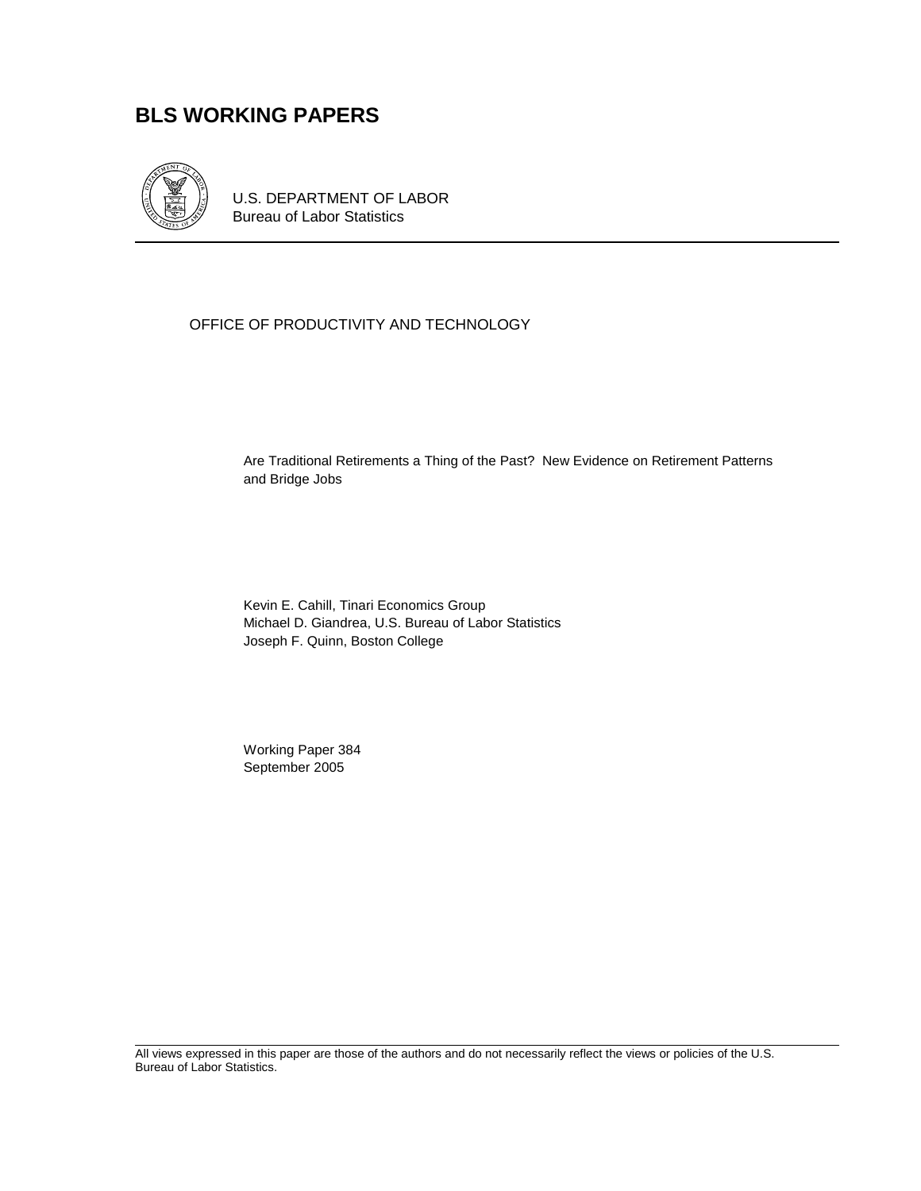## **BLS WORKING PAPERS**



U.S. DEPARTMENT OF LABOR Bureau of Labor Statistics

### OFFICE OF PRODUCTIVITY AND TECHNOLOGY

Are Traditional Retirements a Thing of the Past? New Evidence on Retirement Patterns and Bridge Jobs

Kevin E. Cahill, Tinari Economics Group Michael D. Giandrea, U.S. Bureau of Labor Statistics Joseph F. Quinn, Boston College

 Working Paper 384 September 2005

All views expressed in this paper are those of the authors and do not necessarily reflect the views or policies of the U.S. Bureau of Labor Statistics.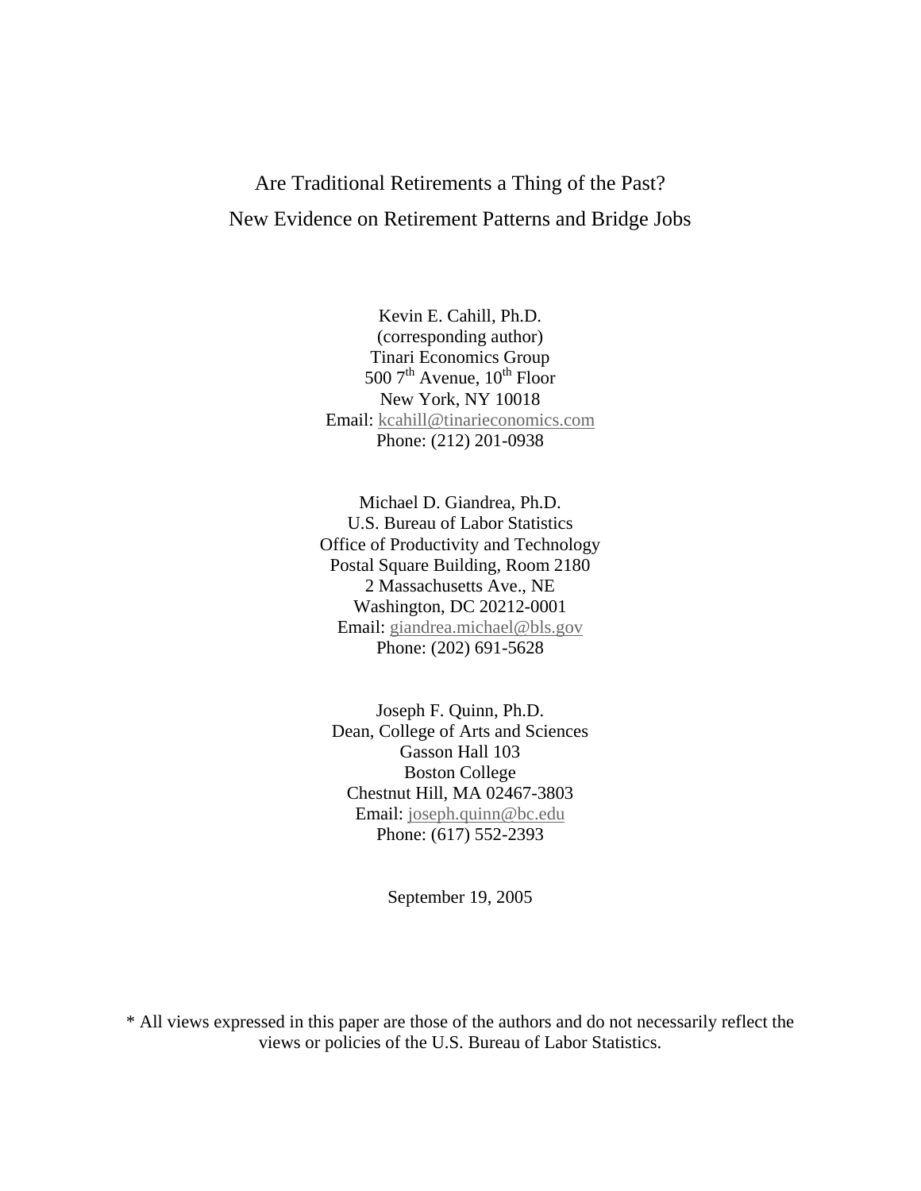# Are Traditional Retirements a Thing of the Past? New Evidence on Retirement Patterns and Bridge Jobs

Kevin E. Cahill, Ph.D. (corresponding author) Tinari Economics Group 500  $7<sup>th</sup>$  Avenue,  $10<sup>th</sup>$  Floor New York, NY 10018 Email: [kcahill@tinarieconomics.com](mailto:kcahill@tinarieconomics.com) Phone: (212) 201-0938

Michael D. Giandrea, Ph.D. U.S. Bureau of Labor Statistics Office of Productivity and Technology Postal Square Building, Room 2180 2 Massachusetts Ave., NE Washington, DC 20212-0001 Email: [giandrea.michael@bls.gov](mailto:giandrea.michael@bls.gov) Phone: (202) 691-5628

Joseph F. Quinn, Ph.D. Dean, College of Arts and Sciences Gasson Hall 103 Boston College Chestnut Hill, MA 02467-3803 Email: [joseph.quinn@bc.edu](mailto:joseph.quinn@bc.edu) Phone: (617) 552-2393

September 19, 2005

\* All views expressed in this paper are those of the authors and do not necessarily reflect the views or policies of the U.S. Bureau of Labor Statistics.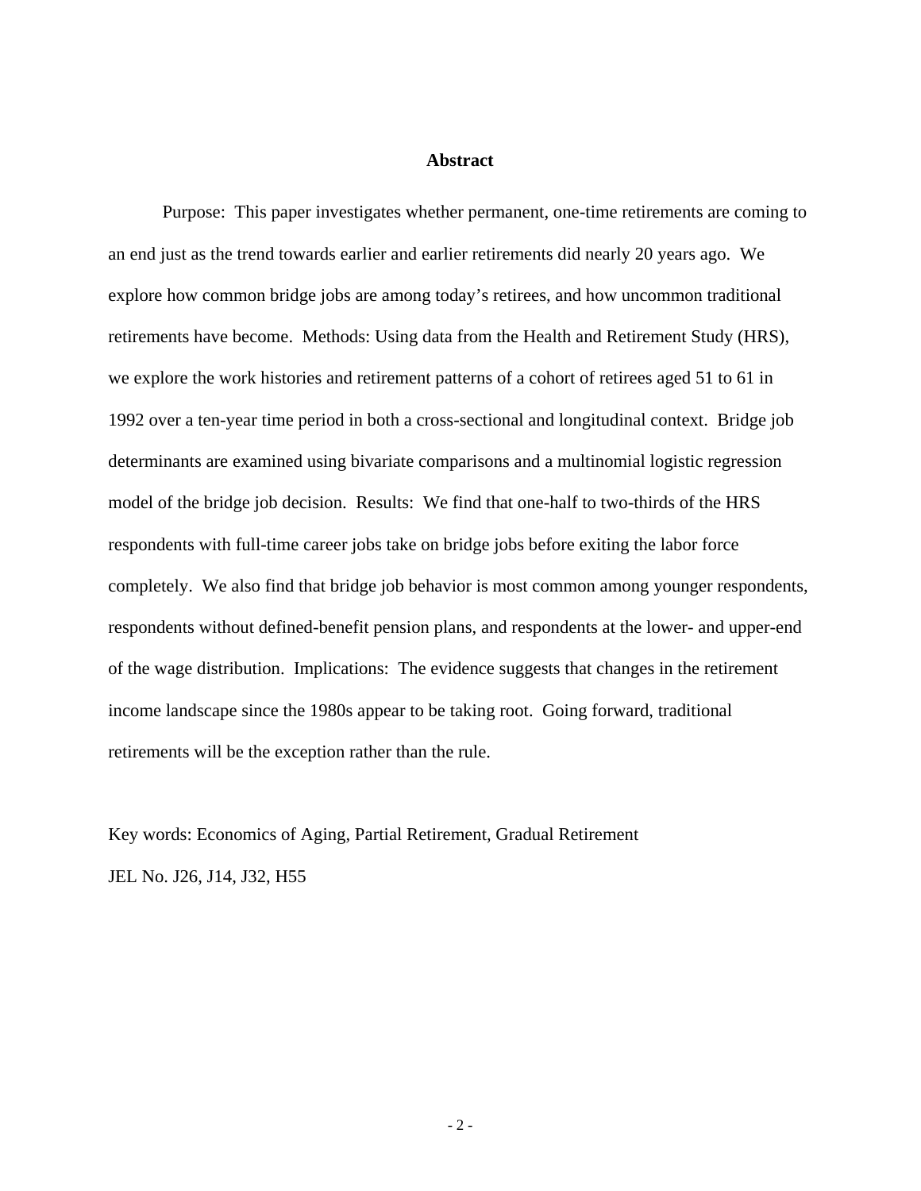#### **Abstract**

Purpose: This paper investigates whether permanent, one-time retirements are coming to an end just as the trend towards earlier and earlier retirements did nearly 20 years ago. We explore how common bridge jobs are among today's retirees, and how uncommon traditional retirements have become. Methods: Using data from the Health and Retirement Study (HRS), we explore the work histories and retirement patterns of a cohort of retirees aged 51 to 61 in 1992 over a ten-year time period in both a cross-sectional and longitudinal context. Bridge job determinants are examined using bivariate comparisons and a multinomial logistic regression model of the bridge job decision. Results: We find that one-half to two-thirds of the HRS respondents with full-time career jobs take on bridge jobs before exiting the labor force completely. We also find that bridge job behavior is most common among younger respondents, respondents without defined-benefit pension plans, and respondents at the lower- and upper-end of the wage distribution. Implications: The evidence suggests that changes in the retirement income landscape since the 1980s appear to be taking root. Going forward, traditional retirements will be the exception rather than the rule.

Key words: Economics of Aging, Partial Retirement, Gradual Retirement JEL No. J26, J14, J32, H55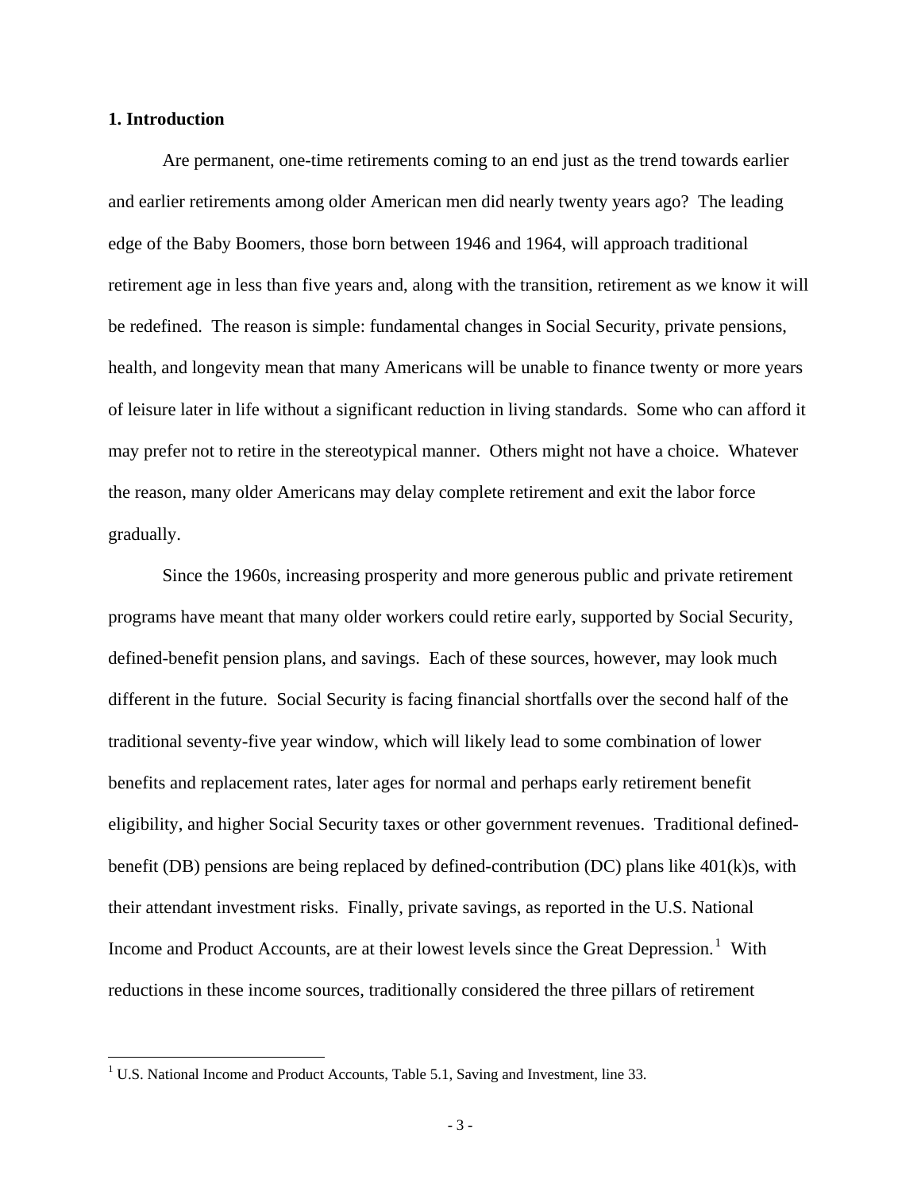#### **1. Introduction**

Are permanent, one-time retirements coming to an end just as the trend towards earlier and earlier retirements among older American men did nearly twenty years ago? The leading edge of the Baby Boomers, those born between 1946 and 1964, will approach traditional retirement age in less than five years and, along with the transition, retirement as we know it will be redefined. The reason is simple: fundamental changes in Social Security, private pensions, health, and longevity mean that many Americans will be unable to finance twenty or more years of leisure later in life without a significant reduction in living standards. Some who can afford it may prefer not to retire in the stereotypical manner. Others might not have a choice. Whatever the reason, many older Americans may delay complete retirement and exit the labor force gradually.

Since the 1960s, increasing prosperity and more generous public and private retirement programs have meant that many older workers could retire early, supported by Social Security, defined-benefit pension plans, and savings. Each of these sources, however, may look much different in the future. Social Security is facing financial shortfalls over the second half of the traditional seventy-five year window, which will likely lead to some combination of lower benefits and replacement rates, later ages for normal and perhaps early retirement benefit eligibility, and higher Social Security taxes or other government revenues. Traditional definedbenefit (DB) pensions are being replaced by defined-contribution (DC) plans like 401(k)s, with their attendant investment risks. Finally, private savings, as reported in the U.S. National Income and Product Accounts, are at their lowest levels since the Great Depression.<sup>[1](#page-3-0)</sup> With reductions in these income sources, traditionally considered the three pillars of retirement

<span id="page-3-0"></span><sup>&</sup>lt;sup>1</sup> U.S. National Income and Product Accounts, Table 5.1, Saving and Investment, line 33.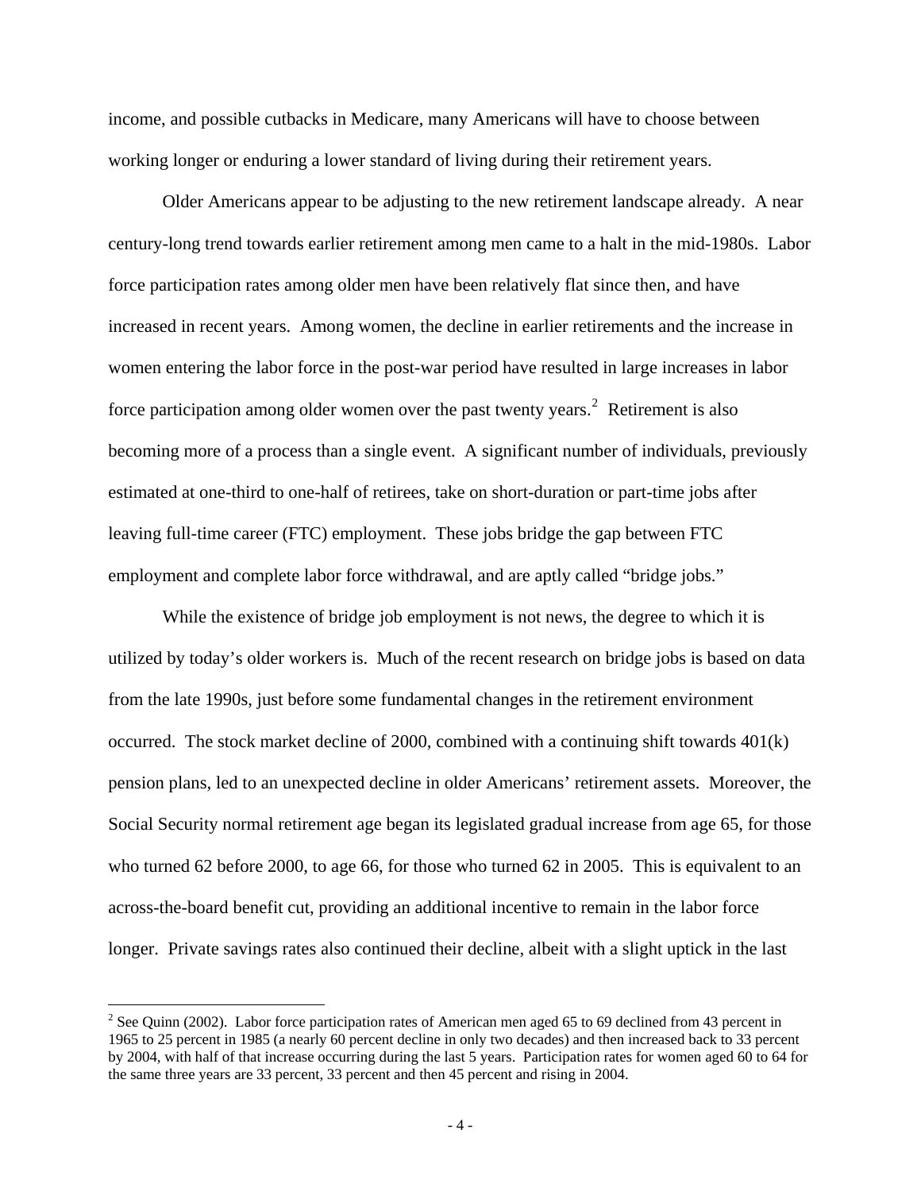income, and possible cutbacks in Medicare, many Americans will have to choose between working longer or enduring a lower standard of living during their retirement years.

Older Americans appear to be adjusting to the new retirement landscape already. A near century-long trend towards earlier retirement among men came to a halt in the mid-1980s. Labor force participation rates among older men have been relatively flat since then, and have increased in recent years. Among women, the decline in earlier retirements and the increase in women entering the labor force in the post-war period have resulted in large increases in labor force participation among older women over the past twenty years.<sup>[2](#page-4-0)</sup> Retirement is also becoming more of a process than a single event. A significant number of individuals, previously estimated at one-third to one-half of retirees, take on short-duration or part-time jobs after leaving full-time career (FTC) employment. These jobs bridge the gap between FTC employment and complete labor force withdrawal, and are aptly called "bridge jobs."

While the existence of bridge job employment is not news, the degree to which it is utilized by today's older workers is. Much of the recent research on bridge jobs is based on data from the late 1990s, just before some fundamental changes in the retirement environment occurred. The stock market decline of 2000, combined with a continuing shift towards  $401(k)$ pension plans, led to an unexpected decline in older Americans' retirement assets. Moreover, the Social Security normal retirement age began its legislated gradual increase from age 65, for those who turned 62 before 2000, to age 66, for those who turned 62 in 2005. This is equivalent to an across-the-board benefit cut, providing an additional incentive to remain in the labor force longer. Private savings rates also continued their decline, albeit with a slight uptick in the last

 $\overline{a}$ 

<span id="page-4-0"></span><sup>&</sup>lt;sup>2</sup> See Quinn (2002). Labor force participation rates of American men aged 65 to 69 declined from 43 percent in 1965 to 25 percent in 1985 (a nearly 60 percent decline in only two decades) and then increased back to 33 percent by 2004, with half of that increase occurring during the last 5 years. Participation rates for women aged 60 to 64 for the same three years are 33 percent, 33 percent and then 45 percent and rising in 2004.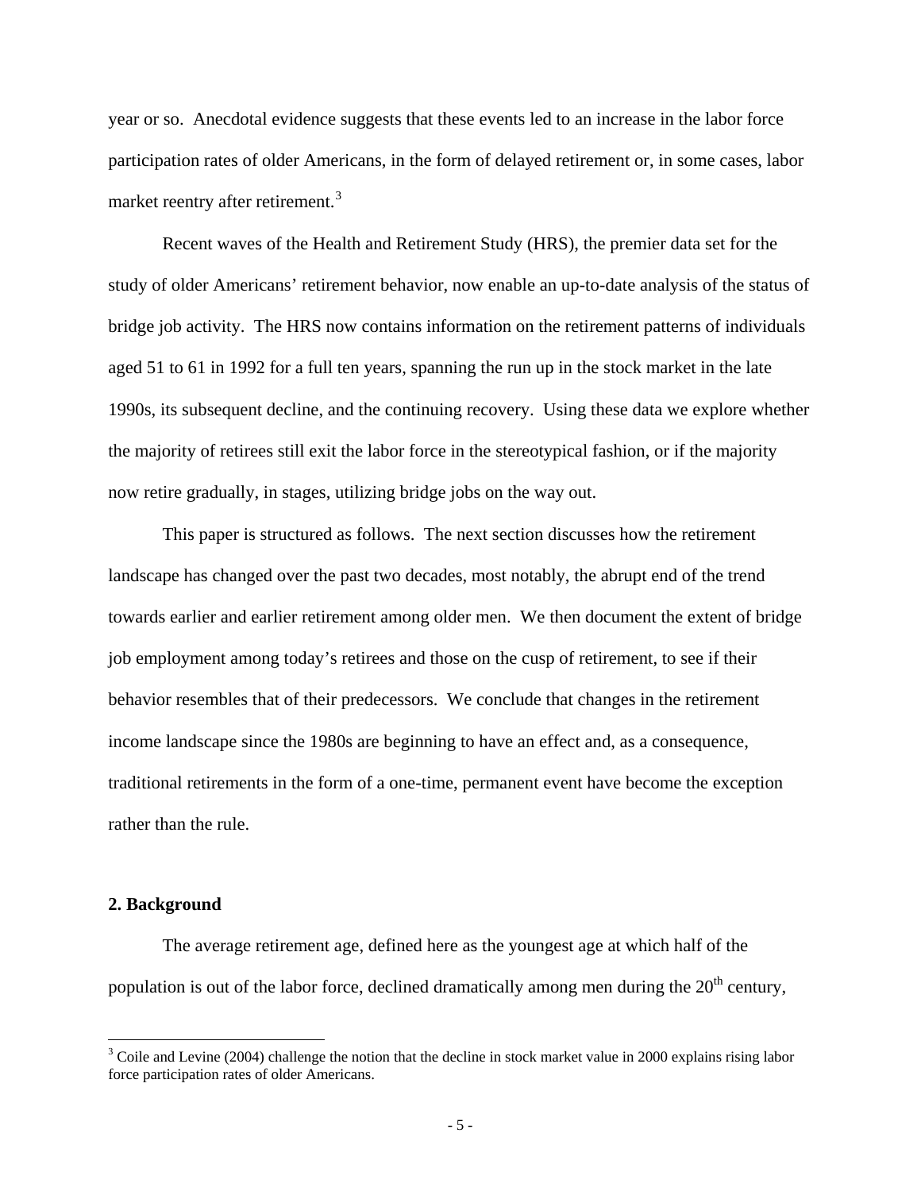year or so. Anecdotal evidence suggests that these events led to an increase in the labor force participation rates of older Americans, in the form of delayed retirement or, in some cases, labor market reentry after retirement.<sup>[3](#page-5-0)</sup>

Recent waves of the Health and Retirement Study (HRS), the premier data set for the study of older Americans' retirement behavior, now enable an up-to-date analysis of the status of bridge job activity. The HRS now contains information on the retirement patterns of individuals aged 51 to 61 in 1992 for a full ten years, spanning the run up in the stock market in the late 1990s, its subsequent decline, and the continuing recovery. Using these data we explore whether the majority of retirees still exit the labor force in the stereotypical fashion, or if the majority now retire gradually, in stages, utilizing bridge jobs on the way out.

 This paper is structured as follows. The next section discusses how the retirement landscape has changed over the past two decades, most notably, the abrupt end of the trend towards earlier and earlier retirement among older men. We then document the extent of bridge job employment among today's retirees and those on the cusp of retirement, to see if their behavior resembles that of their predecessors. We conclude that changes in the retirement income landscape since the 1980s are beginning to have an effect and, as a consequence, traditional retirements in the form of a one-time, permanent event have become the exception rather than the rule.

#### **2. Background**

 $\overline{a}$ 

The average retirement age, defined here as the youngest age at which half of the population is out of the labor force, declined dramatically among men during the  $20<sup>th</sup>$  century,

<span id="page-5-0"></span> $3$  Coile and Levine (2004) challenge the notion that the decline in stock market value in 2000 explains rising labor force participation rates of older Americans.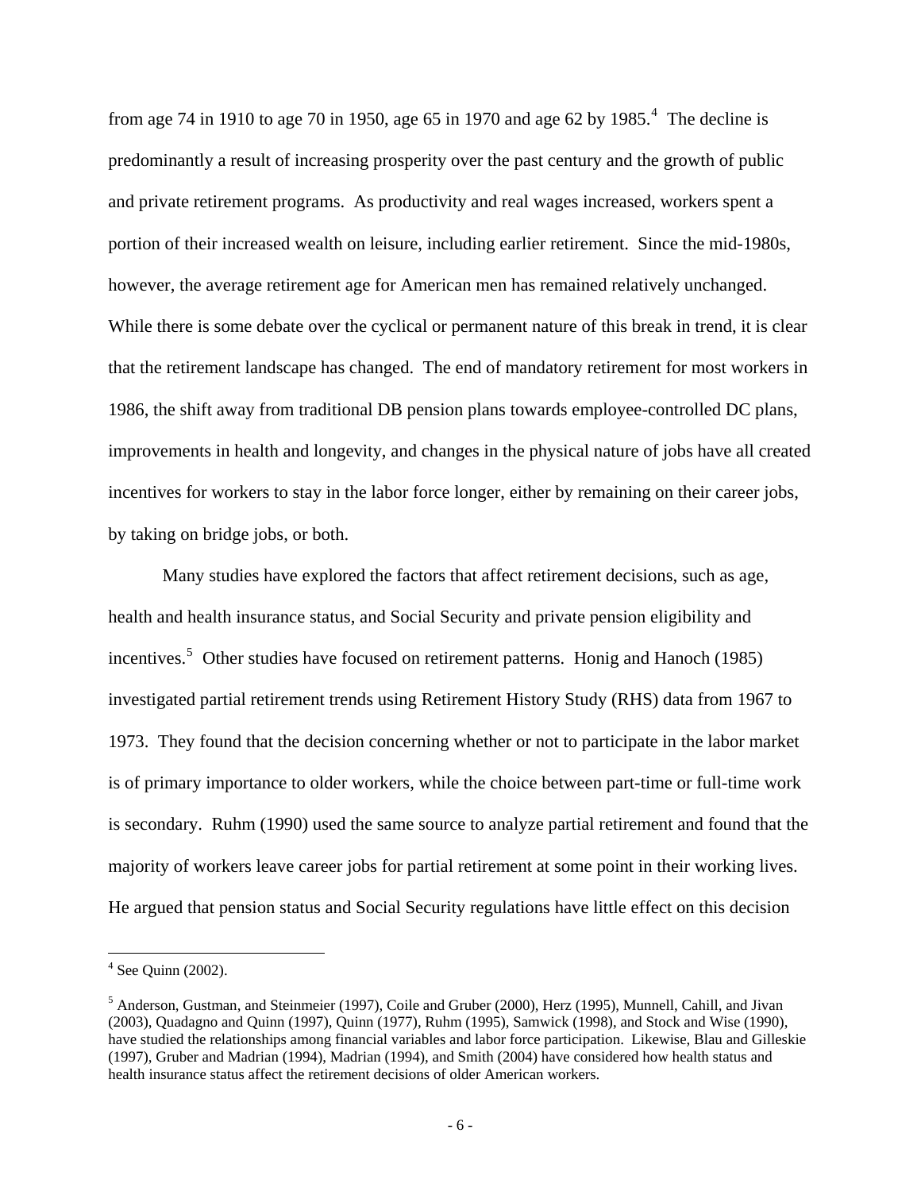from age 7[4](#page-6-0) in 1910 to age 70 in 1950, age 65 in 1970 and age 62 by 1985.<sup>4</sup> The decline is predominantly a result of increasing prosperity over the past century and the growth of public and private retirement programs. As productivity and real wages increased, workers spent a portion of their increased wealth on leisure, including earlier retirement. Since the mid-1980s, however, the average retirement age for American men has remained relatively unchanged. While there is some debate over the cyclical or permanent nature of this break in trend, it is clear that the retirement landscape has changed. The end of mandatory retirement for most workers in 1986, the shift away from traditional DB pension plans towards employee-controlled DC plans, improvements in health and longevity, and changes in the physical nature of jobs have all created incentives for workers to stay in the labor force longer, either by remaining on their career jobs, by taking on bridge jobs, or both.

Many studies have explored the factors that affect retirement decisions, such as age, health and health insurance status, and Social Security and private pension eligibility and incentives.<sup>[5](#page-6-1)</sup> Other studies have focused on retirement patterns. Honig and Hanoch (1985) investigated partial retirement trends using Retirement History Study (RHS) data from 1967 to 1973. They found that the decision concerning whether or not to participate in the labor market is of primary importance to older workers, while the choice between part-time or full-time work is secondary. Ruhm (1990) used the same source to analyze partial retirement and found that the majority of workers leave career jobs for partial retirement at some point in their working lives. He argued that pension status and Social Security regulations have little effect on this decision

 $\overline{a}$ 

<span id="page-6-0"></span> $4$  See Quinn (2002).

<span id="page-6-1"></span><sup>&</sup>lt;sup>5</sup> Anderson, Gustman, and Steinmeier (1997), Coile and Gruber (2000), Herz (1995), Munnell, Cahill, and Jivan (2003), Quadagno and Quinn (1997), Quinn (1977), Ruhm (1995), Samwick (1998), and Stock and Wise (1990), have studied the relationships among financial variables and labor force participation. Likewise, Blau and Gilleskie (1997), Gruber and Madrian (1994), Madrian (1994), and Smith (2004) have considered how health status and health insurance status affect the retirement decisions of older American workers.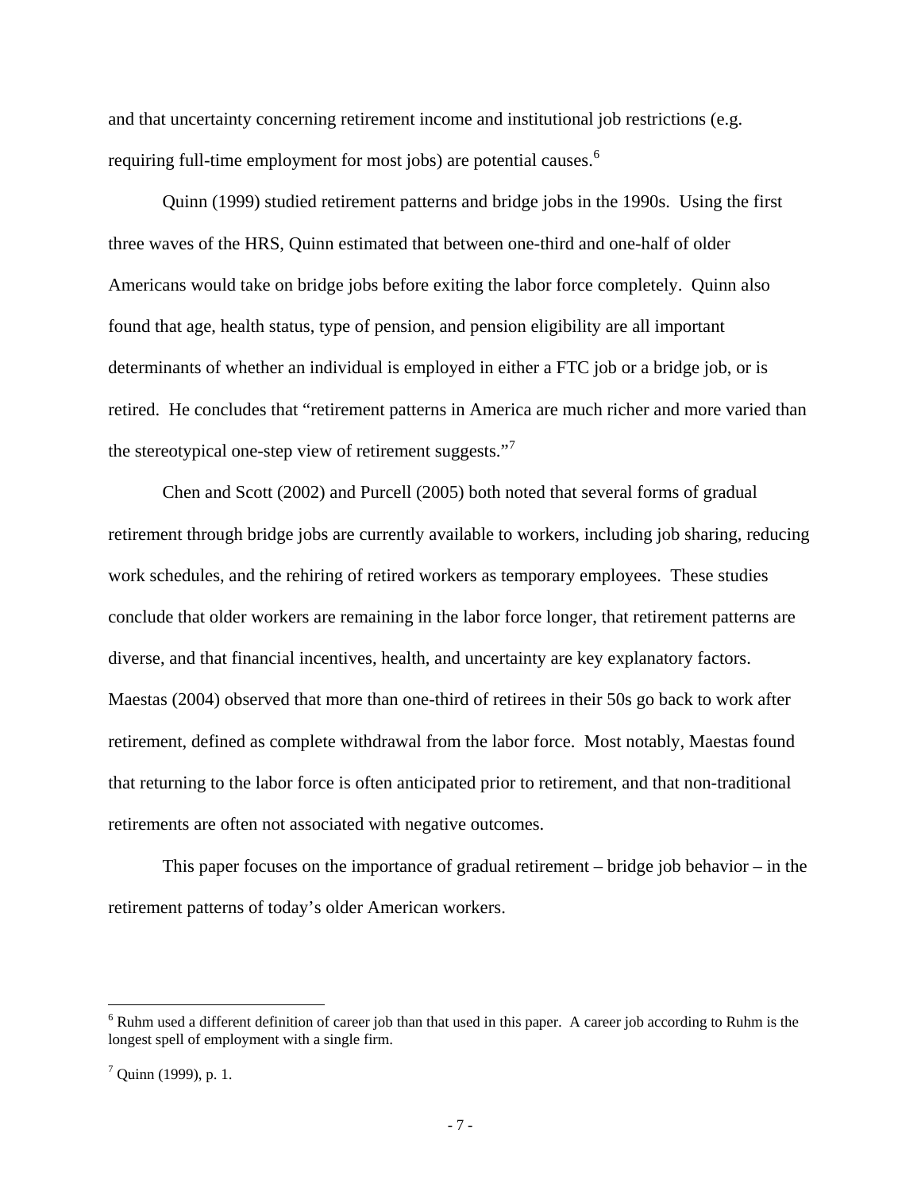and that uncertainty concerning retirement income and institutional job restrictions (e.g. requiring full-time employment for most jobs) are potential causes.<sup>[6](#page-7-0)</sup>

Quinn (1999) studied retirement patterns and bridge jobs in the 1990s. Using the first three waves of the HRS, Quinn estimated that between one-third and one-half of older Americans would take on bridge jobs before exiting the labor force completely. Quinn also found that age, health status, type of pension, and pension eligibility are all important determinants of whether an individual is employed in either a FTC job or a bridge job, or is retired. He concludes that "retirement patterns in America are much richer and more varied than the stereotypical one-step view of retirement suggests."

Chen and Scott (2002) and Purcell (2005) both noted that several forms of gradual retirement through bridge jobs are currently available to workers, including job sharing, reducing work schedules, and the rehiring of retired workers as temporary employees. These studies conclude that older workers are remaining in the labor force longer, that retirement patterns are diverse, and that financial incentives, health, and uncertainty are key explanatory factors. Maestas (2004) observed that more than one-third of retirees in their 50s go back to work after retirement, defined as complete withdrawal from the labor force. Most notably, Maestas found that returning to the labor force is often anticipated prior to retirement, and that non-traditional retirements are often not associated with negative outcomes.

This paper focuses on the importance of gradual retirement – bridge job behavior – in the retirement patterns of today's older American workers.

 $\overline{a}$ 

<span id="page-7-0"></span> $6$  Ruhm used a different definition of career job than that used in this paper. A career job according to Ruhm is the longest spell of employment with a single firm.

<span id="page-7-1"></span> $7$  Quinn (1999), p. 1.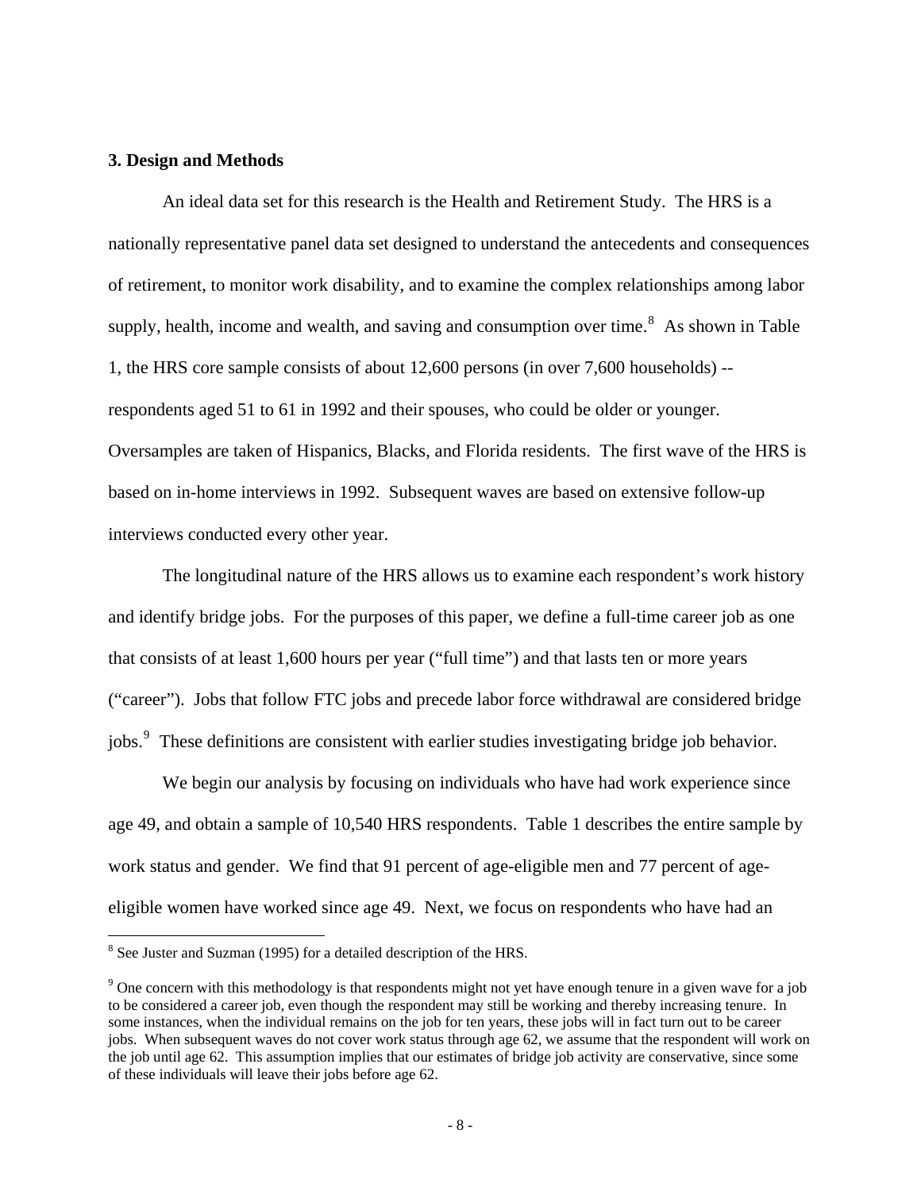#### **3. Design and Methods**

 An ideal data set for this research is the Health and Retirement Study. The HRS is a nationally representative panel data set designed to understand the antecedents and consequences of retirement, to monitor work disability, and to examine the complex relationships among labor supply, health, income and wealth, and saving and consumption over time.<sup>[8](#page-8-0)</sup> As shown in Table 1, the HRS core sample consists of about 12,600 persons (in over 7,600 households) - respondents aged 51 to 61 in 1992 and their spouses, who could be older or younger. Oversamples are taken of Hispanics, Blacks, and Florida residents. The first wave of the HRS is based on in-home interviews in 1992. Subsequent waves are based on extensive follow-up interviews conducted every other year.

The longitudinal nature of the HRS allows us to examine each respondent's work history and identify bridge jobs. For the purposes of this paper, we define a full-time career job as one that consists of at least 1,600 hours per year ("full time") and that lasts ten or more years ("career"). Jobs that follow FTC jobs and precede labor force withdrawal are considered bridge jobs.<sup>[9](#page-8-1)</sup> These definitions are consistent with earlier studies investigating bridge job behavior.

We begin our analysis by focusing on individuals who have had work experience since age 49, and obtain a sample of 10,540 HRS respondents. Table 1 describes the entire sample by work status and gender. We find that 91 percent of age-eligible men and 77 percent of ageeligible women have worked since age 49. Next, we focus on respondents who have had an

<span id="page-8-0"></span><sup>&</sup>lt;sup>8</sup> See Juster and Suzman (1995) for a detailed description of the HRS.

<span id="page-8-1"></span> $9^9$  One concern with this methodology is that respondents might not yet have enough tenure in a given wave for a job to be considered a career job, even though the respondent may still be working and thereby increasing tenure. In some instances, when the individual remains on the job for ten years, these jobs will in fact turn out to be career jobs. When subsequent waves do not cover work status through age 62, we assume that the respondent will work on the job until age 62. This assumption implies that our estimates of bridge job activity are conservative, since some of these individuals will leave their jobs before age 62.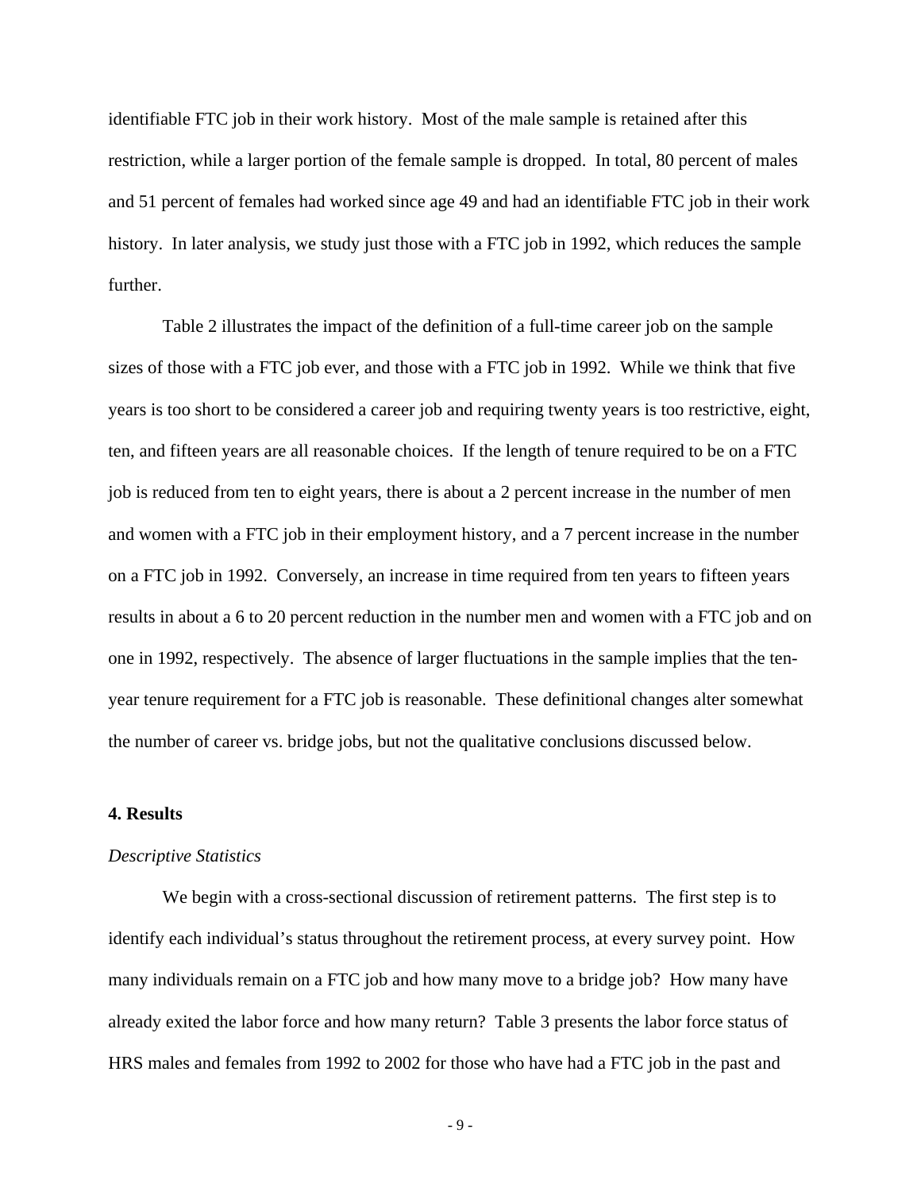identifiable FTC job in their work history. Most of the male sample is retained after this restriction, while a larger portion of the female sample is dropped. In total, 80 percent of males and 51 percent of females had worked since age 49 and had an identifiable FTC job in their work history. In later analysis, we study just those with a FTC job in 1992, which reduces the sample further.

Table 2 illustrates the impact of the definition of a full-time career job on the sample sizes of those with a FTC job ever, and those with a FTC job in 1992. While we think that five years is too short to be considered a career job and requiring twenty years is too restrictive, eight, ten, and fifteen years are all reasonable choices. If the length of tenure required to be on a FTC job is reduced from ten to eight years, there is about a 2 percent increase in the number of men and women with a FTC job in their employment history, and a 7 percent increase in the number on a FTC job in 1992. Conversely, an increase in time required from ten years to fifteen years results in about a 6 to 20 percent reduction in the number men and women with a FTC job and on one in 1992, respectively. The absence of larger fluctuations in the sample implies that the tenyear tenure requirement for a FTC job is reasonable. These definitional changes alter somewhat the number of career vs. bridge jobs, but not the qualitative conclusions discussed below.

#### **4. Results**

#### *Descriptive Statistics*

We begin with a cross-sectional discussion of retirement patterns. The first step is to identify each individual's status throughout the retirement process, at every survey point. How many individuals remain on a FTC job and how many move to a bridge job? How many have already exited the labor force and how many return? Table 3 presents the labor force status of HRS males and females from 1992 to 2002 for those who have had a FTC job in the past and

- 9 -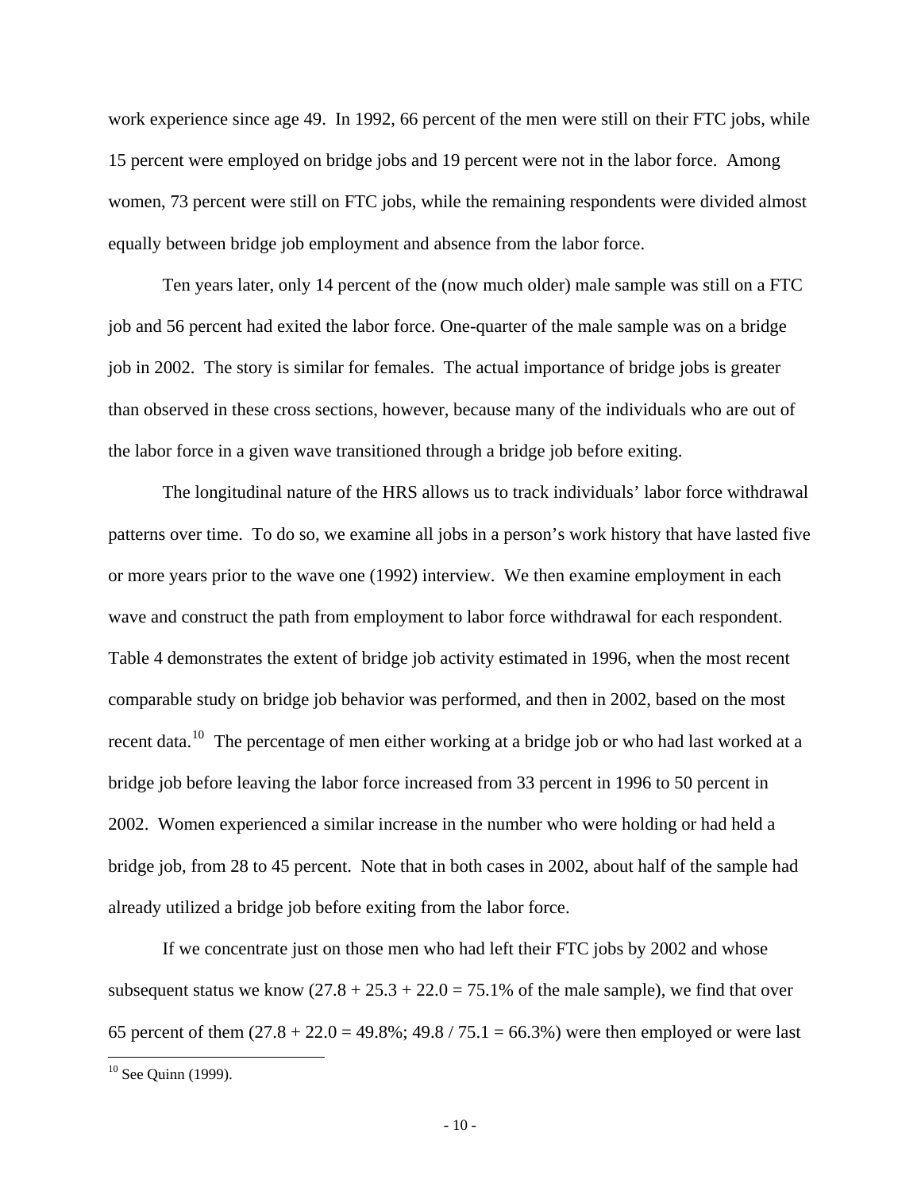work experience since age 49. In 1992, 66 percent of the men were still on their FTC jobs, while 15 percent were employed on bridge jobs and 19 percent were not in the labor force. Among women, 73 percent were still on FTC jobs, while the remaining respondents were divided almost equally between bridge job employment and absence from the labor force.

Ten years later, only 14 percent of the (now much older) male sample was still on a FTC job and 56 percent had exited the labor force. One-quarter of the male sample was on a bridge job in 2002. The story is similar for females. The actual importance of bridge jobs is greater than observed in these cross sections, however, because many of the individuals who are out of the labor force in a given wave transitioned through a bridge job before exiting.

The longitudinal nature of the HRS allows us to track individuals' labor force withdrawal patterns over time. To do so, we examine all jobs in a person's work history that have lasted five or more years prior to the wave one (1992) interview. We then examine employment in each wave and construct the path from employment to labor force withdrawal for each respondent. Table 4 demonstrates the extent of bridge job activity estimated in 1996, when the most recent comparable study on bridge job behavior was performed, and then in 2002, based on the most recent data.<sup>[10](#page-10-0)</sup> The percentage of men either working at a bridge job or who had last worked at a bridge job before leaving the labor force increased from 33 percent in 1996 to 50 percent in 2002. Women experienced a similar increase in the number who were holding or had held a bridge job, from 28 to 45 percent. Note that in both cases in 2002, about half of the sample had already utilized a bridge job before exiting from the labor force.

If we concentrate just on those men who had left their FTC jobs by 2002 and whose subsequent status we know  $(27.8 + 25.3 + 22.0 = 75.1\%$  of the male sample), we find that over 65 percent of them  $(27.8 + 22.0 = 49.8\%; 49.8 / 75.1 = 66.3\%)$  were then employed or were last

 $\overline{a}$ 

<span id="page-10-0"></span> $10$  See Quinn (1999).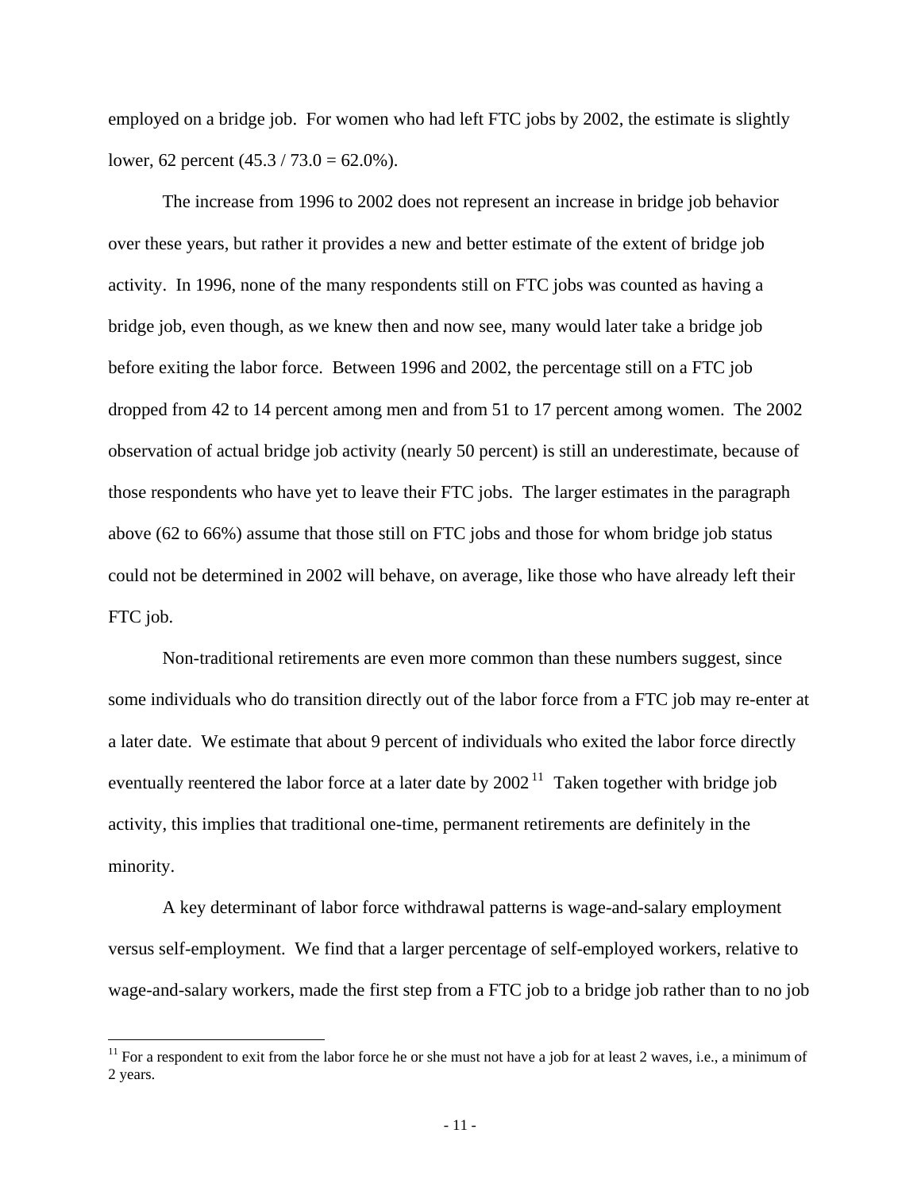employed on a bridge job. For women who had left FTC jobs by 2002, the estimate is slightly lower, 62 percent  $(45.3 / 73.0 = 62.0\%)$ .

The increase from 1996 to 2002 does not represent an increase in bridge job behavior over these years, but rather it provides a new and better estimate of the extent of bridge job activity. In 1996, none of the many respondents still on FTC jobs was counted as having a bridge job, even though, as we knew then and now see, many would later take a bridge job before exiting the labor force. Between 1996 and 2002, the percentage still on a FTC job dropped from 42 to 14 percent among men and from 51 to 17 percent among women. The 2002 observation of actual bridge job activity (nearly 50 percent) is still an underestimate, because of those respondents who have yet to leave their FTC jobs. The larger estimates in the paragraph above (62 to 66%) assume that those still on FTC jobs and those for whom bridge job status could not be determined in 2002 will behave, on average, like those who have already left their FTC job.

Non-traditional retirements are even more common than these numbers suggest, since some individuals who do transition directly out of the labor force from a FTC job may re-enter at a later date. We estimate that about 9 percent of individuals who exited the labor force directly eventually reentered the labor force at a later date by  $2002<sup>11</sup>$  $2002<sup>11</sup>$  $2002<sup>11</sup>$  Taken together with bridge job activity, this implies that traditional one-time, permanent retirements are definitely in the minority.

A key determinant of labor force withdrawal patterns is wage-and-salary employment versus self-employment. We find that a larger percentage of self-employed workers, relative to wage-and-salary workers, made the first step from a FTC job to a bridge job rather than to no job

 $\overline{a}$ 

<span id="page-11-0"></span> $11$  For a respondent to exit from the labor force he or she must not have a job for at least 2 waves, i.e., a minimum of 2 years.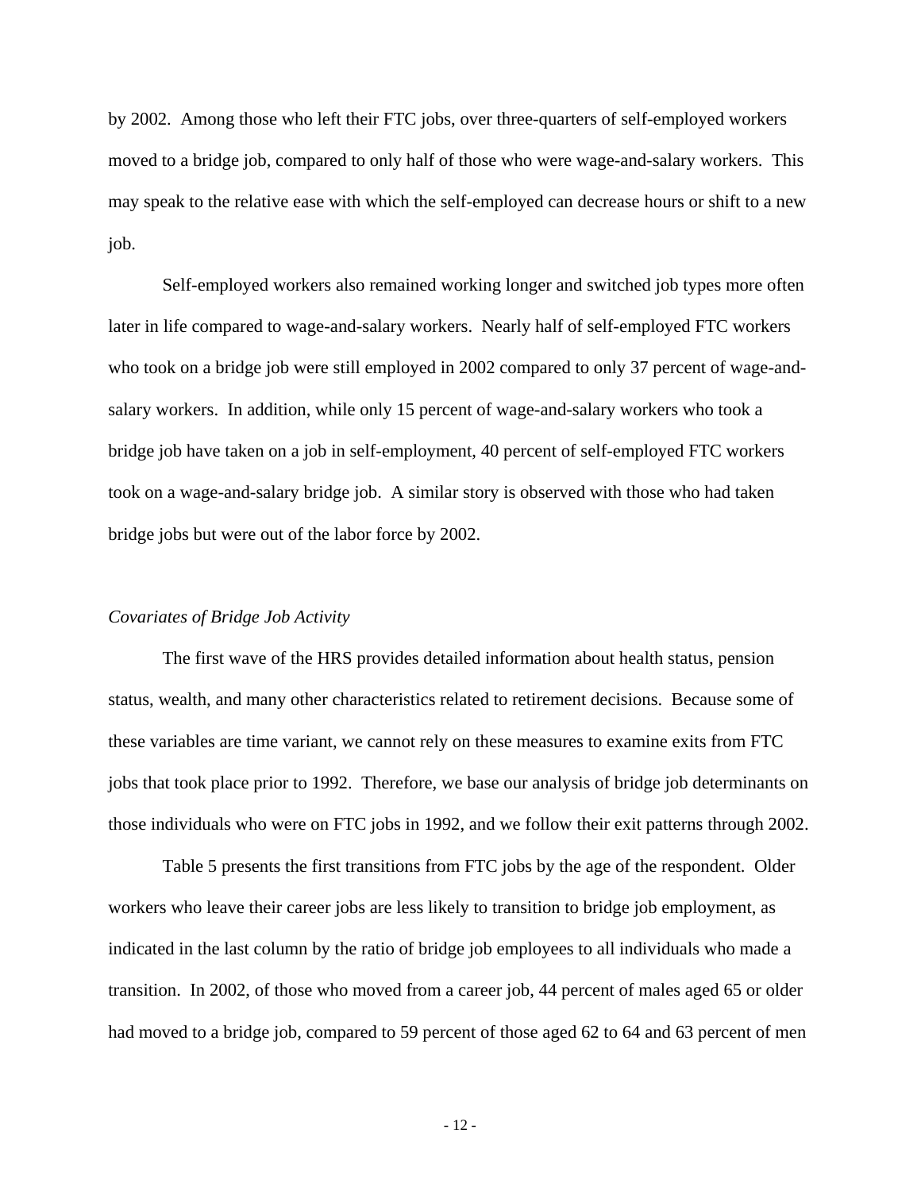by 2002. Among those who left their FTC jobs, over three-quarters of self-employed workers moved to a bridge job, compared to only half of those who were wage-and-salary workers. This may speak to the relative ease with which the self-employed can decrease hours or shift to a new job.

Self-employed workers also remained working longer and switched job types more often later in life compared to wage-and-salary workers. Nearly half of self-employed FTC workers who took on a bridge job were still employed in 2002 compared to only 37 percent of wage-andsalary workers. In addition, while only 15 percent of wage-and-salary workers who took a bridge job have taken on a job in self-employment, 40 percent of self-employed FTC workers took on a wage-and-salary bridge job. A similar story is observed with those who had taken bridge jobs but were out of the labor force by 2002.

### *Covariates of Bridge Job Activity*

The first wave of the HRS provides detailed information about health status, pension status, wealth, and many other characteristics related to retirement decisions. Because some of these variables are time variant, we cannot rely on these measures to examine exits from FTC jobs that took place prior to 1992. Therefore, we base our analysis of bridge job determinants on those individuals who were on FTC jobs in 1992, and we follow their exit patterns through 2002.

Table 5 presents the first transitions from FTC jobs by the age of the respondent. Older workers who leave their career jobs are less likely to transition to bridge job employment, as indicated in the last column by the ratio of bridge job employees to all individuals who made a transition. In 2002, of those who moved from a career job, 44 percent of males aged 65 or older had moved to a bridge job, compared to 59 percent of those aged 62 to 64 and 63 percent of men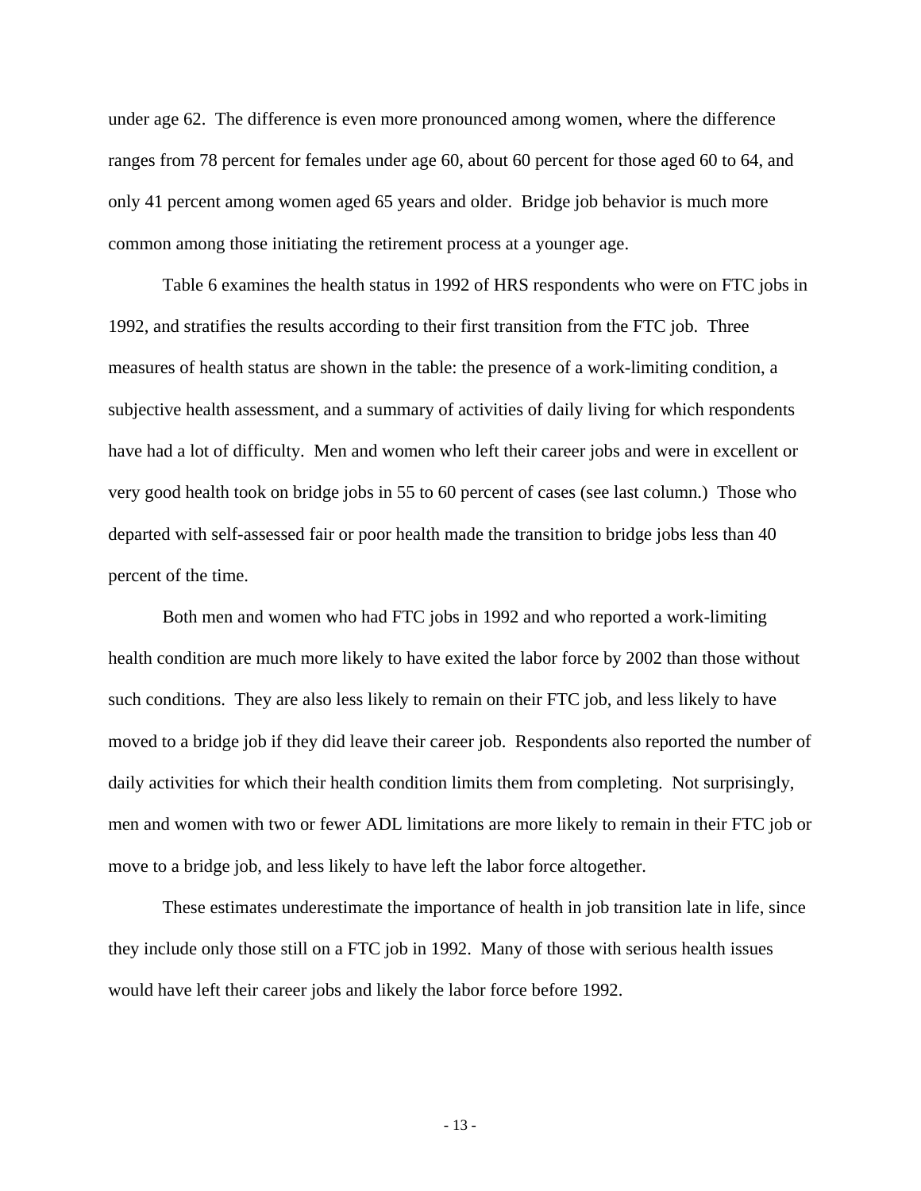under age 62. The difference is even more pronounced among women, where the difference ranges from 78 percent for females under age 60, about 60 percent for those aged 60 to 64, and only 41 percent among women aged 65 years and older. Bridge job behavior is much more common among those initiating the retirement process at a younger age.

Table 6 examines the health status in 1992 of HRS respondents who were on FTC jobs in 1992, and stratifies the results according to their first transition from the FTC job. Three measures of health status are shown in the table: the presence of a work-limiting condition, a subjective health assessment, and a summary of activities of daily living for which respondents have had a lot of difficulty. Men and women who left their career jobs and were in excellent or very good health took on bridge jobs in 55 to 60 percent of cases (see last column.) Those who departed with self-assessed fair or poor health made the transition to bridge jobs less than 40 percent of the time.

Both men and women who had FTC jobs in 1992 and who reported a work-limiting health condition are much more likely to have exited the labor force by 2002 than those without such conditions. They are also less likely to remain on their FTC job, and less likely to have moved to a bridge job if they did leave their career job. Respondents also reported the number of daily activities for which their health condition limits them from completing. Not surprisingly, men and women with two or fewer ADL limitations are more likely to remain in their FTC job or move to a bridge job, and less likely to have left the labor force altogether.

These estimates underestimate the importance of health in job transition late in life, since they include only those still on a FTC job in 1992. Many of those with serious health issues would have left their career jobs and likely the labor force before 1992.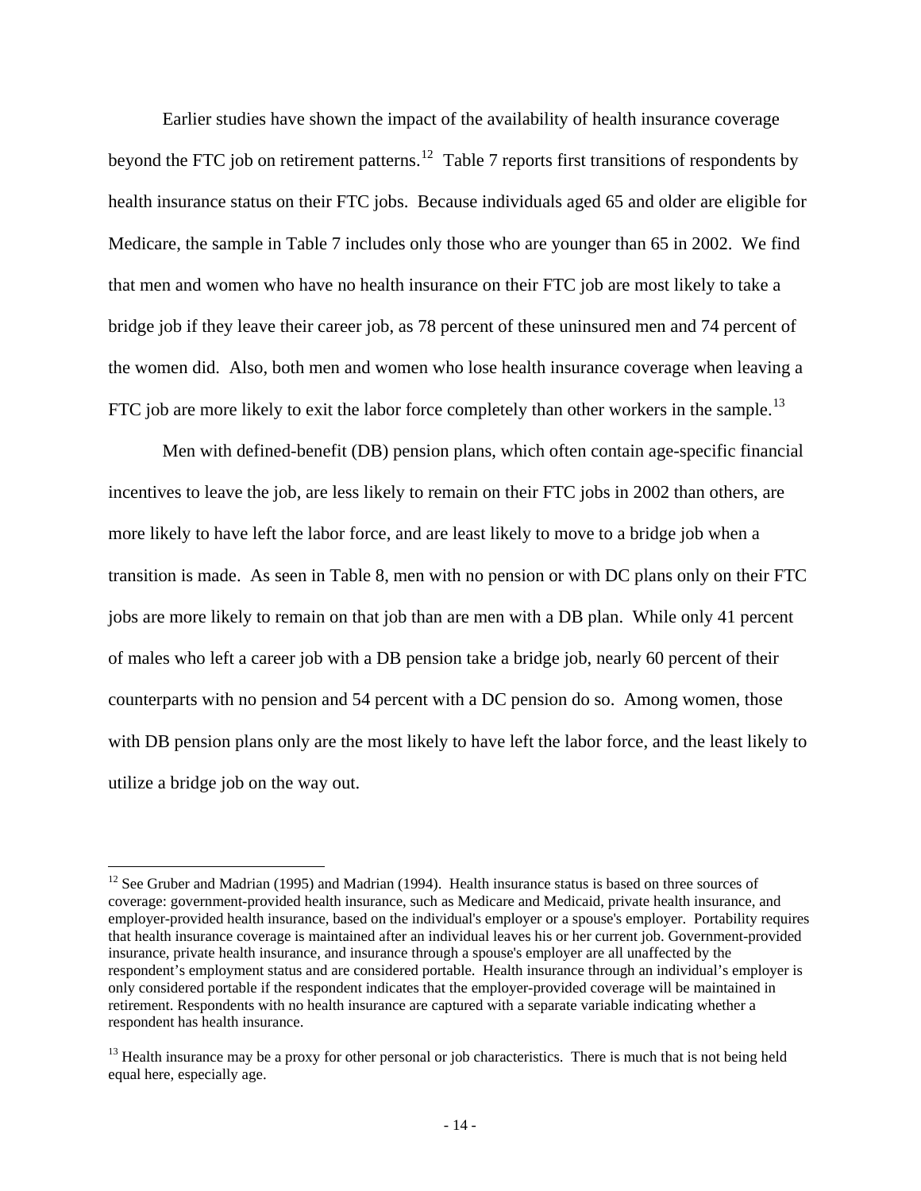Earlier studies have shown the impact of the availability of health insurance coverage beyond the FTC job on retirement patterns.<sup>[12](#page-14-0)</sup> Table 7 reports first transitions of respondents by health insurance status on their FTC jobs. Because individuals aged 65 and older are eligible for Medicare, the sample in Table 7 includes only those who are younger than 65 in 2002. We find that men and women who have no health insurance on their FTC job are most likely to take a bridge job if they leave their career job, as 78 percent of these uninsured men and 74 percent of the women did. Also, both men and women who lose health insurance coverage when leaving a FTC job are more likely to exit the labor force completely than other workers in the sample.<sup>[13](#page-14-1)</sup>

Men with defined-benefit (DB) pension plans, which often contain age-specific financial incentives to leave the job, are less likely to remain on their FTC jobs in 2002 than others, are more likely to have left the labor force, and are least likely to move to a bridge job when a transition is made. As seen in Table 8, men with no pension or with DC plans only on their FTC jobs are more likely to remain on that job than are men with a DB plan. While only 41 percent of males who left a career job with a DB pension take a bridge job, nearly 60 percent of their counterparts with no pension and 54 percent with a DC pension do so. Among women, those with DB pension plans only are the most likely to have left the labor force, and the least likely to utilize a bridge job on the way out.

 $\overline{a}$ 

<span id="page-14-0"></span><sup>&</sup>lt;sup>12</sup> See Gruber and Madrian (1995) and Madrian (1994). Health insurance status is based on three sources of coverage: government-provided health insurance, such as Medicare and Medicaid, private health insurance, and employer-provided health insurance, based on the individual's employer or a spouse's employer. Portability requires that health insurance coverage is maintained after an individual leaves his or her current job. Government-provided insurance, private health insurance, and insurance through a spouse's employer are all unaffected by the respondent's employment status and are considered portable. Health insurance through an individual's employer is only considered portable if the respondent indicates that the employer-provided coverage will be maintained in retirement. Respondents with no health insurance are captured with a separate variable indicating whether a respondent has health insurance.

<span id="page-14-1"></span><sup>&</sup>lt;sup>13</sup> Health insurance may be a proxy for other personal or job characteristics. There is much that is not being held equal here, especially age.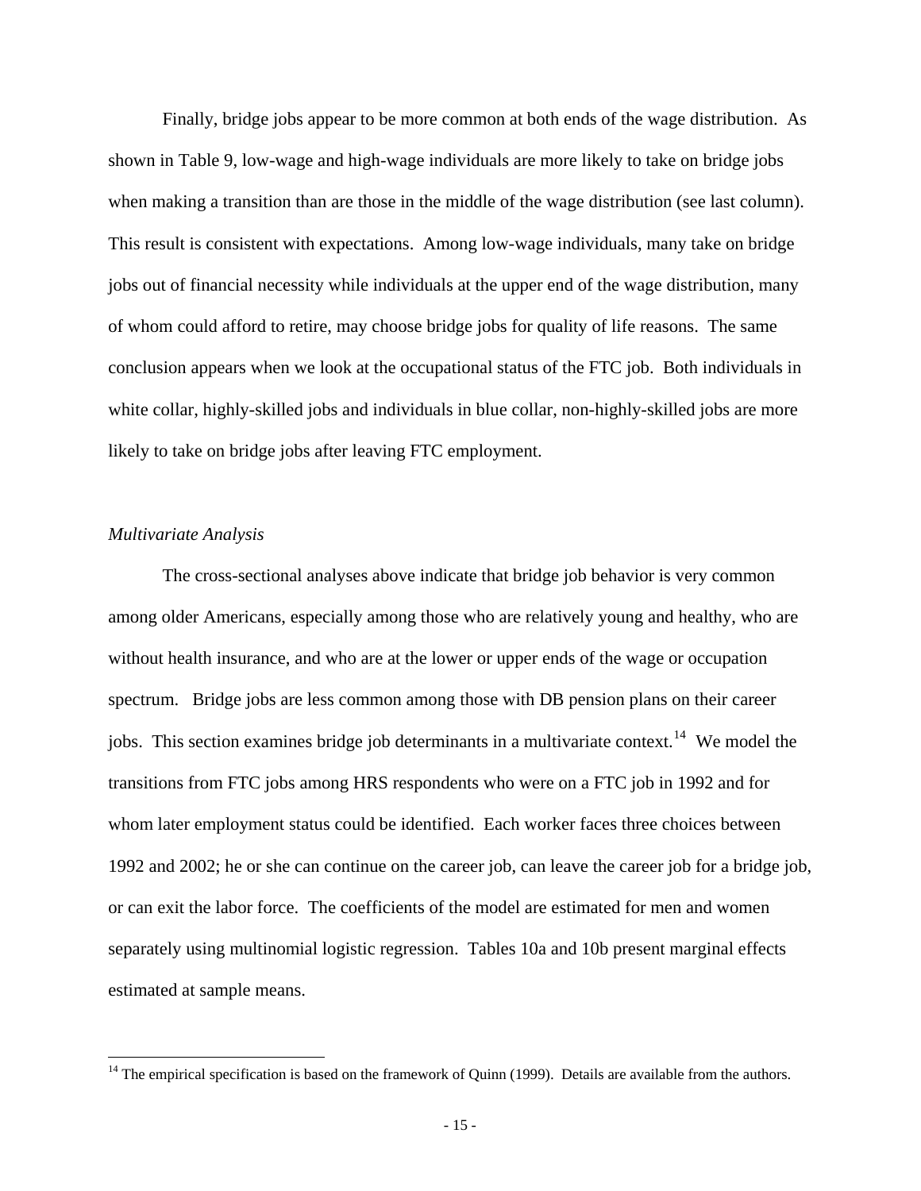Finally, bridge jobs appear to be more common at both ends of the wage distribution. As shown in Table 9, low-wage and high-wage individuals are more likely to take on bridge jobs when making a transition than are those in the middle of the wage distribution (see last column). This result is consistent with expectations. Among low-wage individuals, many take on bridge jobs out of financial necessity while individuals at the upper end of the wage distribution, many of whom could afford to retire, may choose bridge jobs for quality of life reasons. The same conclusion appears when we look at the occupational status of the FTC job. Both individuals in white collar, highly-skilled jobs and individuals in blue collar, non-highly-skilled jobs are more likely to take on bridge jobs after leaving FTC employment.

### *Multivariate Analysis*

 $\overline{a}$ 

The cross-sectional analyses above indicate that bridge job behavior is very common among older Americans, especially among those who are relatively young and healthy, who are without health insurance, and who are at the lower or upper ends of the wage or occupation spectrum. Bridge jobs are less common among those with DB pension plans on their career jobs. This section examines bridge job determinants in a multivariate context.<sup>[14](#page-15-0)</sup> We model the transitions from FTC jobs among HRS respondents who were on a FTC job in 1992 and for whom later employment status could be identified. Each worker faces three choices between 1992 and 2002; he or she can continue on the career job, can leave the career job for a bridge job, or can exit the labor force. The coefficients of the model are estimated for men and women separately using multinomial logistic regression. Tables 10a and 10b present marginal effects estimated at sample means.

<span id="page-15-0"></span> $14$  The empirical specification is based on the framework of Quinn (1999). Details are available from the authors.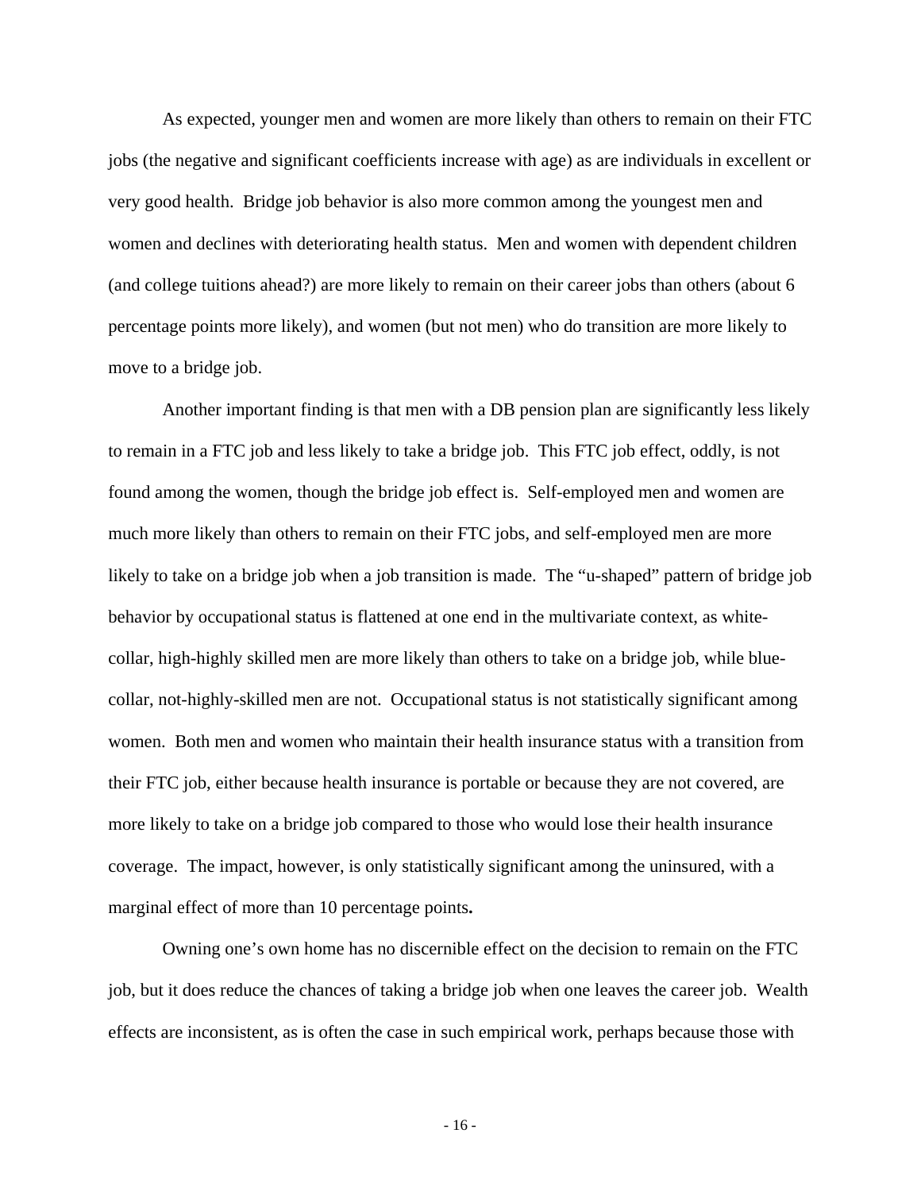As expected, younger men and women are more likely than others to remain on their FTC jobs (the negative and significant coefficients increase with age) as are individuals in excellent or very good health. Bridge job behavior is also more common among the youngest men and women and declines with deteriorating health status. Men and women with dependent children (and college tuitions ahead?) are more likely to remain on their career jobs than others (about 6 percentage points more likely), and women (but not men) who do transition are more likely to move to a bridge job.

Another important finding is that men with a DB pension plan are significantly less likely to remain in a FTC job and less likely to take a bridge job. This FTC job effect, oddly, is not found among the women, though the bridge job effect is. Self-employed men and women are much more likely than others to remain on their FTC jobs, and self-employed men are more likely to take on a bridge job when a job transition is made. The "u-shaped" pattern of bridge job behavior by occupational status is flattened at one end in the multivariate context, as whitecollar, high-highly skilled men are more likely than others to take on a bridge job, while bluecollar, not-highly-skilled men are not. Occupational status is not statistically significant among women. Both men and women who maintain their health insurance status with a transition from their FTC job, either because health insurance is portable or because they are not covered, are more likely to take on a bridge job compared to those who would lose their health insurance coverage. The impact, however, is only statistically significant among the uninsured, with a marginal effect of more than 10 percentage points**.** 

Owning one's own home has no discernible effect on the decision to remain on the FTC job, but it does reduce the chances of taking a bridge job when one leaves the career job. Wealth effects are inconsistent, as is often the case in such empirical work, perhaps because those with

- 16 -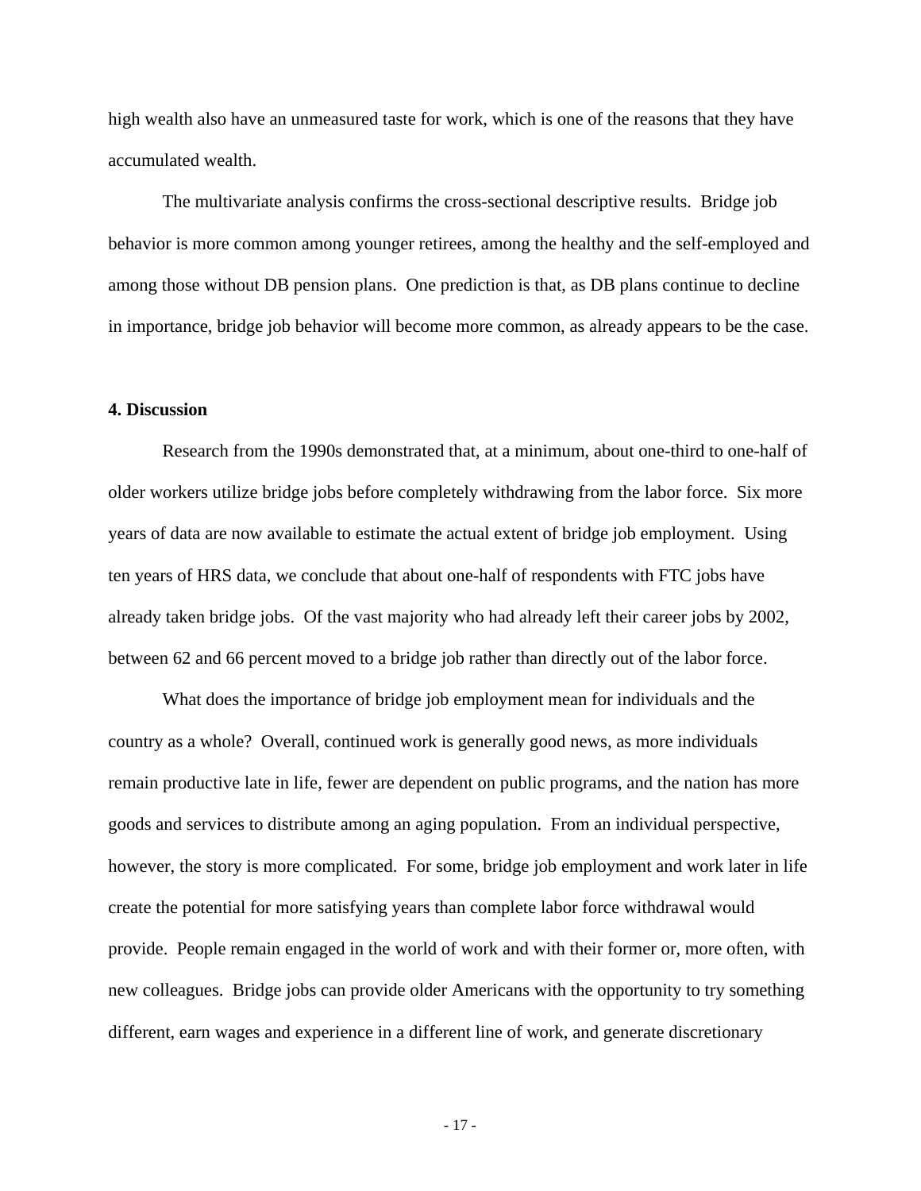high wealth also have an unmeasured taste for work, which is one of the reasons that they have accumulated wealth.

 The multivariate analysis confirms the cross-sectional descriptive results. Bridge job behavior is more common among younger retirees, among the healthy and the self-employed and among those without DB pension plans. One prediction is that, as DB plans continue to decline in importance, bridge job behavior will become more common, as already appears to be the case.

#### **4. Discussion**

 Research from the 1990s demonstrated that, at a minimum, about one-third to one-half of older workers utilize bridge jobs before completely withdrawing from the labor force. Six more years of data are now available to estimate the actual extent of bridge job employment. Using ten years of HRS data, we conclude that about one-half of respondents with FTC jobs have already taken bridge jobs. Of the vast majority who had already left their career jobs by 2002, between 62 and 66 percent moved to a bridge job rather than directly out of the labor force.

What does the importance of bridge job employment mean for individuals and the country as a whole? Overall, continued work is generally good news, as more individuals remain productive late in life, fewer are dependent on public programs, and the nation has more goods and services to distribute among an aging population. From an individual perspective, however, the story is more complicated. For some, bridge job employment and work later in life create the potential for more satisfying years than complete labor force withdrawal would provide. People remain engaged in the world of work and with their former or, more often, with new colleagues. Bridge jobs can provide older Americans with the opportunity to try something different, earn wages and experience in a different line of work, and generate discretionary

- 17 -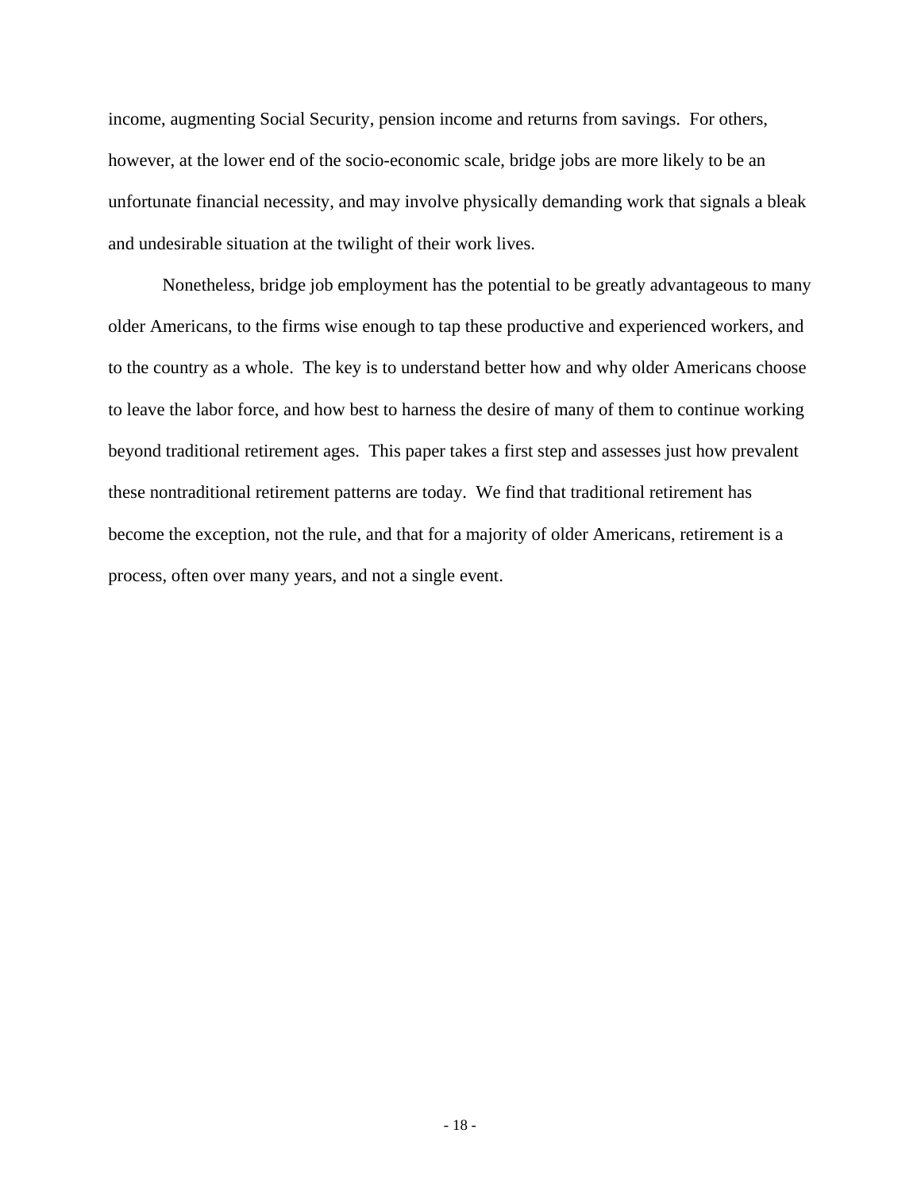income, augmenting Social Security, pension income and returns from savings. For others, however, at the lower end of the socio-economic scale, bridge jobs are more likely to be an unfortunate financial necessity, and may involve physically demanding work that signals a bleak and undesirable situation at the twilight of their work lives.

Nonetheless, bridge job employment has the potential to be greatly advantageous to many older Americans, to the firms wise enough to tap these productive and experienced workers, and to the country as a whole. The key is to understand better how and why older Americans choose to leave the labor force, and how best to harness the desire of many of them to continue working beyond traditional retirement ages. This paper takes a first step and assesses just how prevalent these nontraditional retirement patterns are today. We find that traditional retirement has become the exception, not the rule, and that for a majority of older Americans, retirement is a process, often over many years, and not a single event.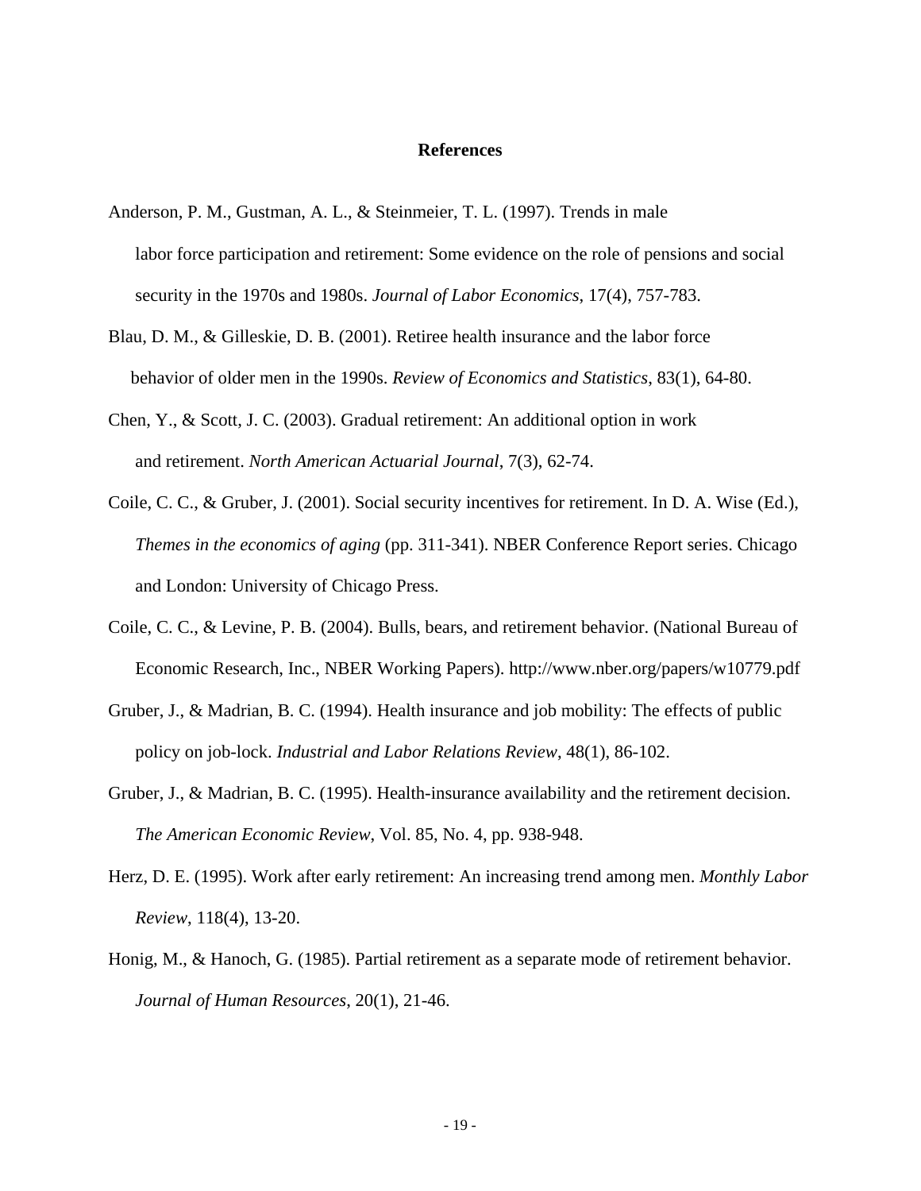#### **References**

- Anderson, P. M., Gustman, A. L., & Steinmeier, T. L. (1997). Trends in male labor force participation and retirement: Some evidence on the role of pensions and social security in the 1970s and 1980s. *Journal of Labor Economics*, 17(4), 757-783.
- Blau, D. M., & Gilleskie, D. B. (2001). Retiree health insurance and the labor force behavior of older men in the 1990s. *Review of Economics and Statistics*, 83(1), 64-80.
- Chen, Y., & Scott, J. C. (2003). Gradual retirement: An additional option in work and retirement. *North American Actuarial Journal*, 7(3), 62-74.
- Coile, C. C., & Gruber, J. (2001). Social security incentives for retirement. In D. A. Wise (Ed.), *Themes in the economics of aging* (pp. 311-341). NBER Conference Report series. Chicago and London: University of Chicago Press.
- Coile, C. C., & Levine, P. B. (2004). Bulls, bears, and retirement behavior. (National Bureau of Economic Research, Inc., NBER Working Papers). http://www.nber.org/papers/w10779.pdf
- Gruber, J., & Madrian, B. C. (1994). Health insurance and job mobility: The effects of public policy on job-lock. *Industrial and Labor Relations Review*, 48(1), 86-102.
- Gruber, J., & Madrian, B. C. (1995). Health-insurance availability and the retirement decision. *The American Economic Review*, Vol. 85, No. 4, pp. 938-948.
- Herz, D. E. (1995). Work after early retirement: An increasing trend among men. *Monthly Labor Review*, 118(4), 13-20.
- Honig, M., & Hanoch, G. (1985). Partial retirement as a separate mode of retirement behavior. *Journal of Human Resources*, 20(1), 21-46.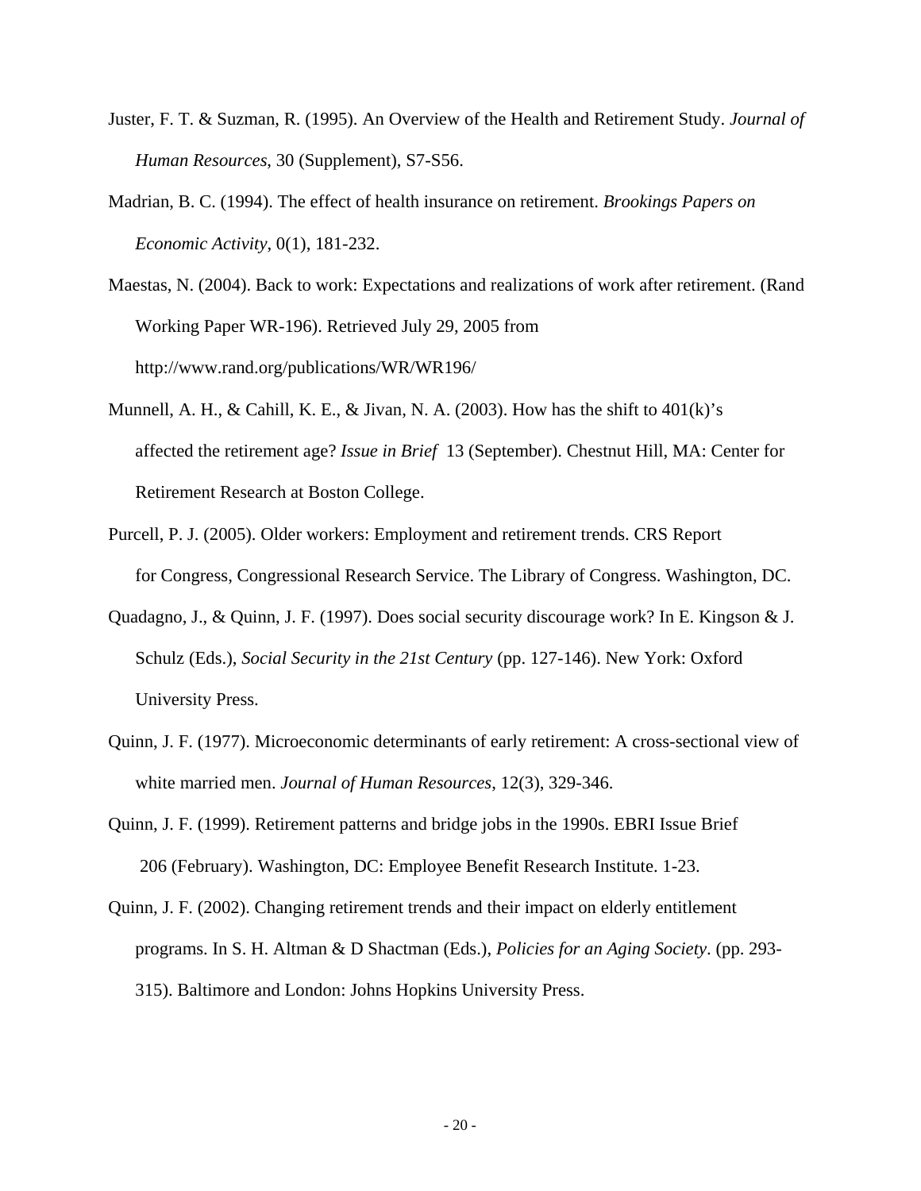- Juster, F. T. & Suzman, R. (1995). An Overview of the Health and Retirement Study. *Journal of Human Resources*, 30 (Supplement), S7-S56.
- Madrian, B. C. (1994). The effect of health insurance on retirement. *Brookings Papers on Economic Activity*, 0(1), 181-232.
- Maestas, N. (2004). Back to work: Expectations and realizations of work after retirement. (Rand Working Paper WR-196). Retrieved July 29, 2005 from http://www.rand.org/publications/WR/WR196/
- Munnell, A. H., & Cahill, K. E., & Jivan, N. A. (2003). How has the shift to  $401(k)$ 's affected the retirement age? *Issue in Brief* 13 (September). Chestnut Hill, MA: Center for Retirement Research at Boston College.
- Purcell, P. J. (2005). Older workers: Employment and retirement trends. CRS Report for Congress, Congressional Research Service. The Library of Congress. Washington, DC.
- Quadagno, J., & Quinn, J. F. (1997). Does social security discourage work? In E. Kingson & J. Schulz (Eds.), *Social Security in the 21st Century* (pp. 127-146). New York: Oxford University Press.
- Quinn, J. F. (1977). Microeconomic determinants of early retirement: A cross-sectional view of white married men. *Journal of Human Resources*, 12(3), 329-346.
- Quinn, J. F. (1999). Retirement patterns and bridge jobs in the 1990s. EBRI Issue Brief 206 (February). Washington, DC: Employee Benefit Research Institute. 1-23.
- Quinn, J. F. (2002). Changing retirement trends and their impact on elderly entitlement programs. In S. H. Altman & D Shactman (Eds.), *Policies for an Aging Society*. (pp. 293- 315). Baltimore and London: Johns Hopkins University Press.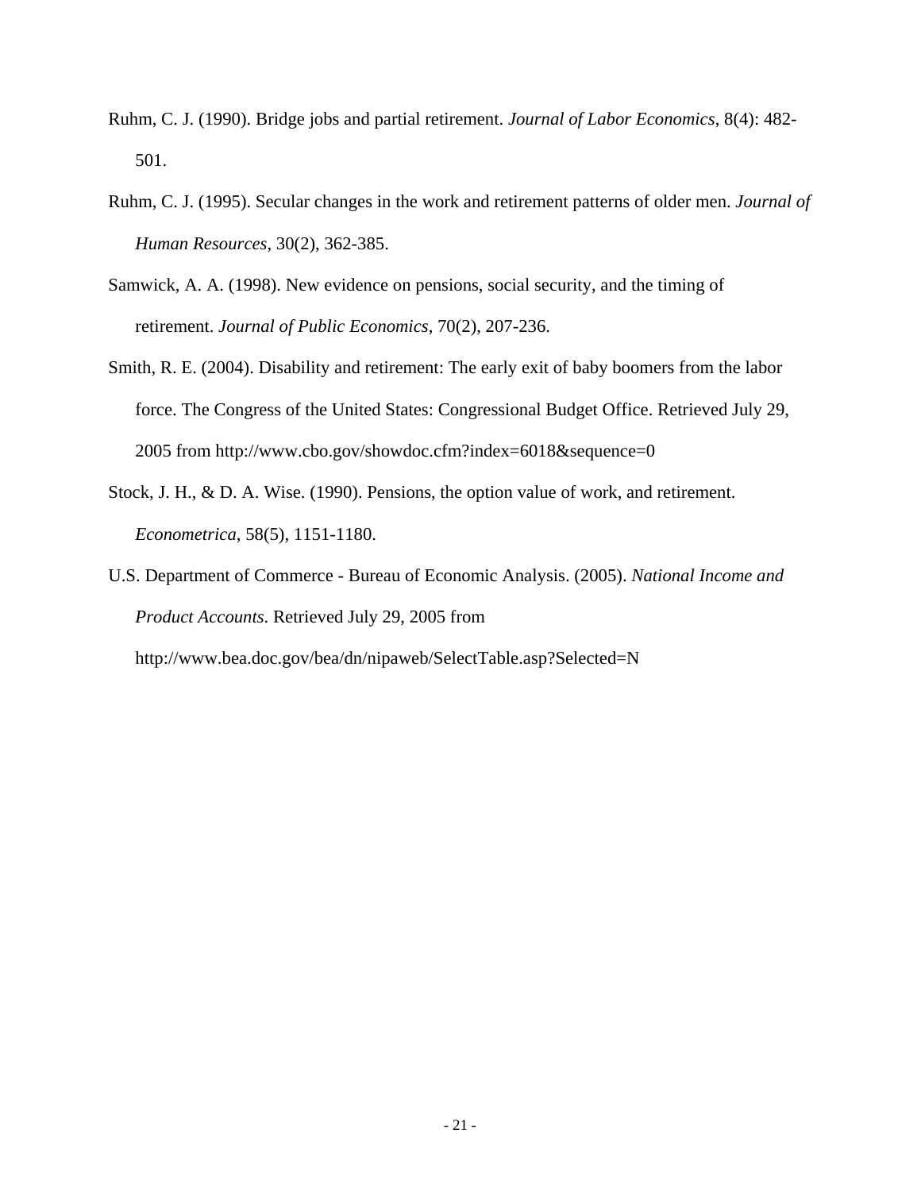- Ruhm, C. J. (1990). Bridge jobs and partial retirement. *Journal of Labor Economics*, 8(4): 482- 501.
- Ruhm, C. J. (1995). Secular changes in the work and retirement patterns of older men. *Journal of Human Resources*, 30(2), 362-385.
- Samwick, A. A. (1998). New evidence on pensions, social security, and the timing of retirement. *Journal of Public Economics*, 70(2), 207-236.
- Smith, R. E. (2004). Disability and retirement: The early exit of baby boomers from the labor force. The Congress of the United States: Congressional Budget Office. Retrieved July 29, 2005 from http://www.cbo.gov/showdoc.cfm?index=6018&sequence=0
- Stock, J. H., & D. A. Wise. (1990). Pensions, the option value of work, and retirement. *Econometrica*, 58(5), 1151-1180.
- U.S. Department of Commerce Bureau of Economic Analysis. (2005). *National Income and Product Accounts*. Retrieved July 29, 2005 from http://www.bea.doc.gov/bea/dn/nipaweb/SelectTable.asp?Selected=N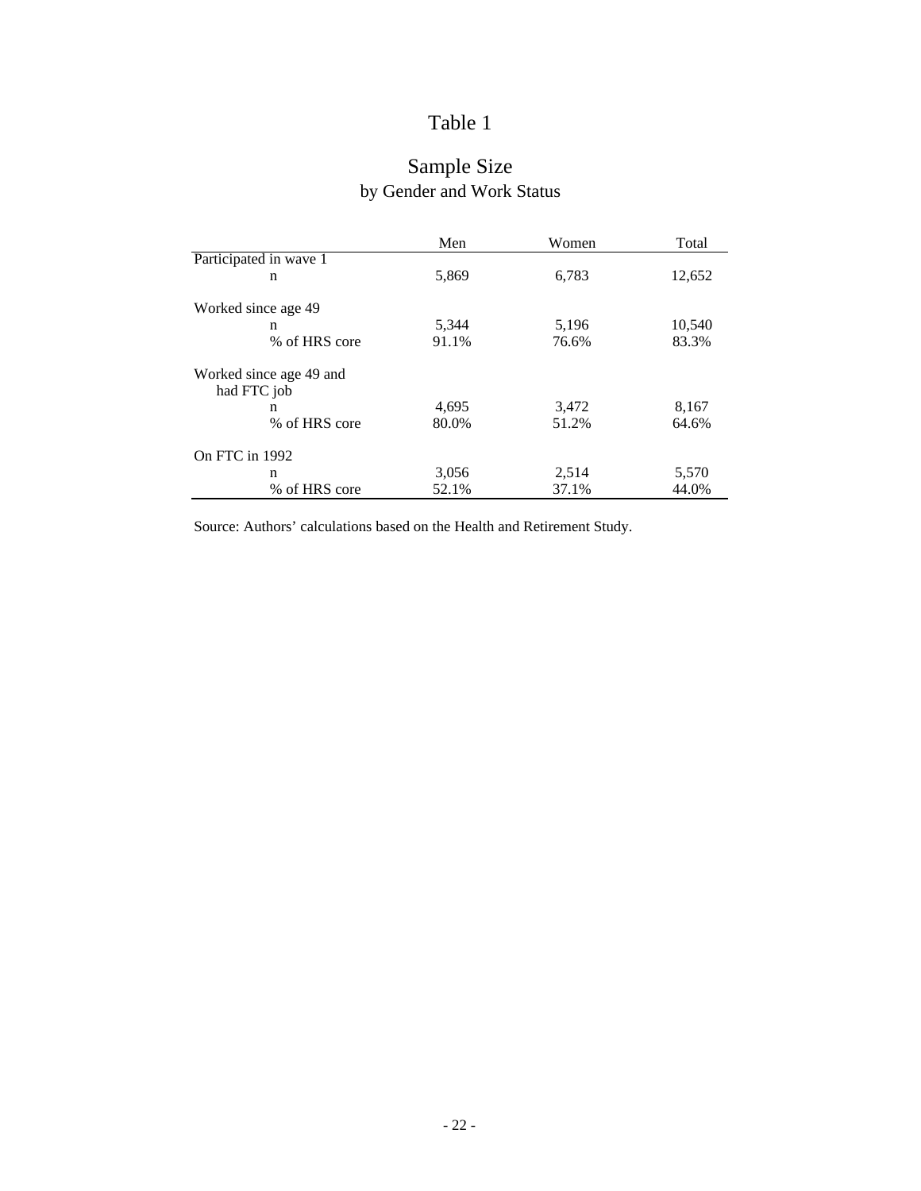## Sample Size by Gender and Work Status

|                                        | Men   | Women | Total  |
|----------------------------------------|-------|-------|--------|
| Participated in wave 1                 |       |       |        |
| n                                      | 5,869 | 6,783 | 12,652 |
| Worked since age 49                    |       |       |        |
| n                                      | 5,344 | 5,196 | 10,540 |
| % of HRS core                          | 91.1% | 76.6% | 83.3%  |
| Worked since age 49 and<br>had FTC job |       |       |        |
| n                                      | 4,695 | 3,472 | 8,167  |
| % of HRS core                          | 80.0% | 51.2% | 64.6%  |
| On FTC in 1992                         |       |       |        |
| n                                      | 3,056 | 2,514 | 5,570  |
| % of HRS core                          | 52.1% | 37.1% | 44.0%  |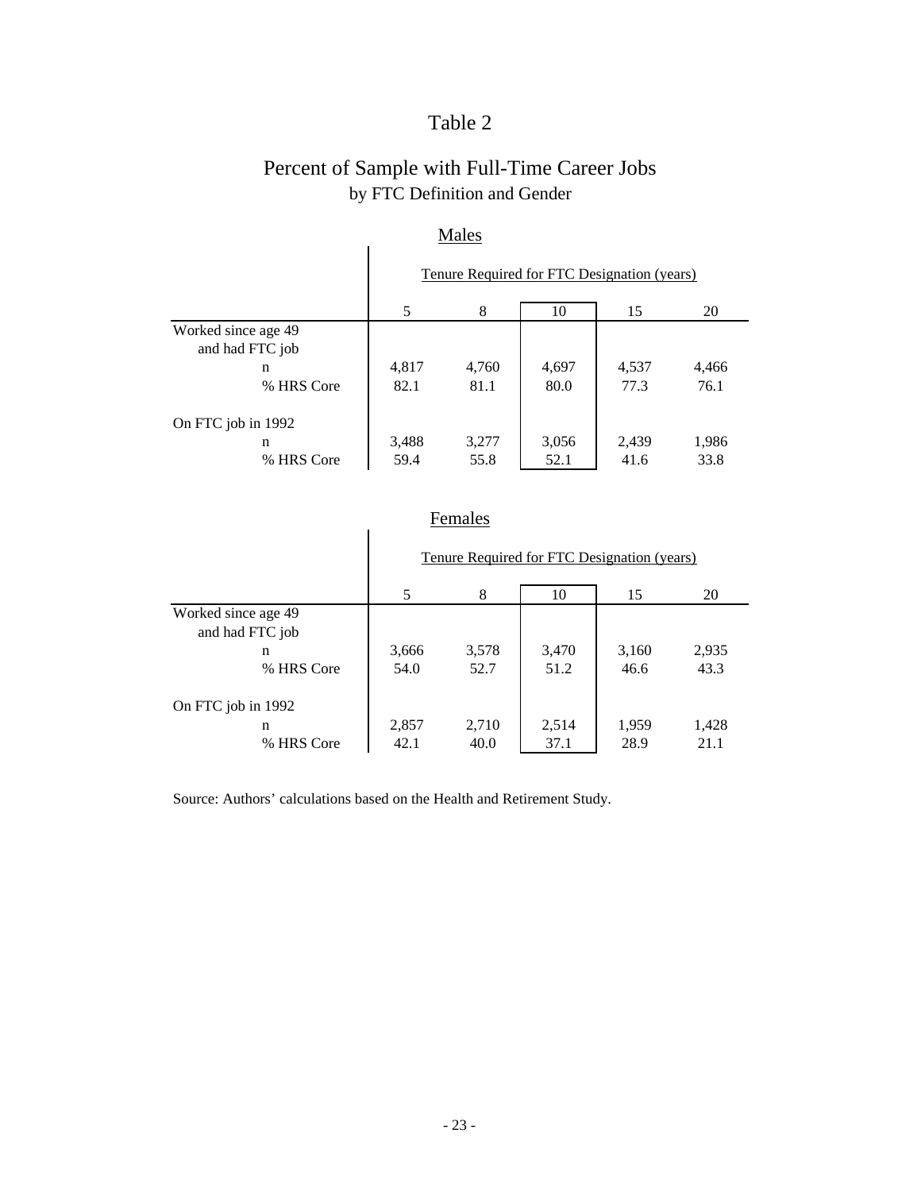## Percent of Sample with Full-Time Career Jobs by FTC Definition and Gender

| <b>NIAICS</b>       |                                             |       |       |       |       |  |  |  |  |
|---------------------|---------------------------------------------|-------|-------|-------|-------|--|--|--|--|
|                     | Tenure Required for FTC Designation (years) |       |       |       |       |  |  |  |  |
|                     | 5                                           | 8     | 10    | 15    | 20    |  |  |  |  |
| Worked since age 49 |                                             |       |       |       |       |  |  |  |  |
| and had FTC job     |                                             |       |       |       |       |  |  |  |  |
| n                   | 4,817                                       | 4,760 | 4,697 | 4,537 | 4,466 |  |  |  |  |
| % HRS Core          | 82.1                                        | 81.1  | 80.0  | 77.3  | 76.1  |  |  |  |  |
| On FTC job in 1992  |                                             |       |       |       |       |  |  |  |  |
| n                   | 3,488                                       | 3,277 | 3,056 | 2,439 | 1,986 |  |  |  |  |
| % HRS Core          | 59.4                                        | 55.8  | 52.1  | 41.6  | 33.8  |  |  |  |  |

### Males

### Females

|                     |                                             | --------- |       |       |       |  |  |  |  |
|---------------------|---------------------------------------------|-----------|-------|-------|-------|--|--|--|--|
|                     | Tenure Required for FTC Designation (years) |           |       |       |       |  |  |  |  |
|                     | 5                                           | 8         | 10    | 15    | 20    |  |  |  |  |
| Worked since age 49 |                                             |           |       |       |       |  |  |  |  |
| and had FTC job     |                                             |           |       |       |       |  |  |  |  |
| $\mathbf n$         | 3,666                                       | 3,578     | 3,470 | 3,160 | 2,935 |  |  |  |  |
| % HRS Core          | 54.0                                        | 52.7      | 51.2  | 46.6  | 43.3  |  |  |  |  |
| On FTC job in 1992  |                                             |           |       |       |       |  |  |  |  |
| n                   | 2,857                                       | 2,710     | 2,514 | 1,959 | 1,428 |  |  |  |  |
| % HRS Core          | 42.1                                        | 40.0      | 37.1  | 28.9  | 21.1  |  |  |  |  |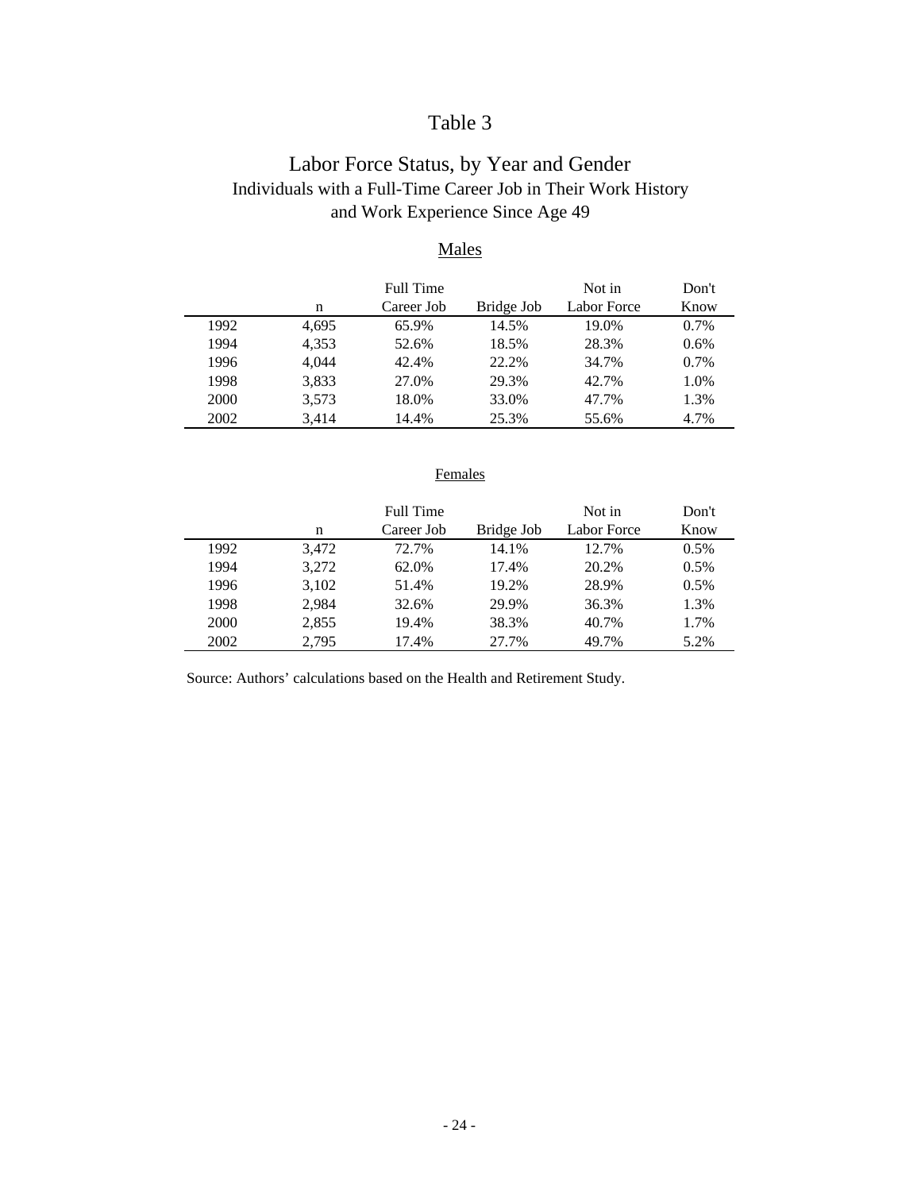### Labor Force Status, by Year and Gender Individuals with a Full-Time Career Job in Their Work History and Work Experience Since Age 49

### Males

|      |       | Full Time  |            | Not in      | Don't   |
|------|-------|------------|------------|-------------|---------|
|      | n     | Career Job | Bridge Job | Labor Force | Know    |
| 1992 | 4,695 | 65.9%      | 14.5%      | 19.0%       | $0.7\%$ |
| 1994 | 4,353 | 52.6%      | 18.5%      | 28.3%       | 0.6%    |
| 1996 | 4.044 | 42.4%      | 22.2%      | 34.7%       | $0.7\%$ |
| 1998 | 3,833 | 27.0%      | 29.3%      | 42.7%       | 1.0%    |
| 2000 | 3,573 | 18.0%      | 33.0%      | 47.7%       | 1.3%    |
| 2002 | 3.414 | 14.4%      | 25.3%      | 55.6%       | 4.7%    |

### Females

|      |       | Full Time  |            | Not in      | Don't   |
|------|-------|------------|------------|-------------|---------|
|      | n     | Career Job | Bridge Job | Labor Force | Know    |
| 1992 | 3.472 | 72.7%      | 14.1%      | 12.7%       | $0.5\%$ |
| 1994 | 3,272 | 62.0%      | 17.4%      | 20.2%       | 0.5%    |
| 1996 | 3,102 | 51.4%      | 19.2%      | 28.9%       | 0.5%    |
| 1998 | 2.984 | 32.6%      | 29.9%      | 36.3%       | 1.3%    |
| 2000 | 2,855 | 19.4%      | 38.3%      | 40.7%       | 1.7%    |
| 2002 | 2.795 | 17.4%      | 27.7%      | 49.7%       | 5.2%    |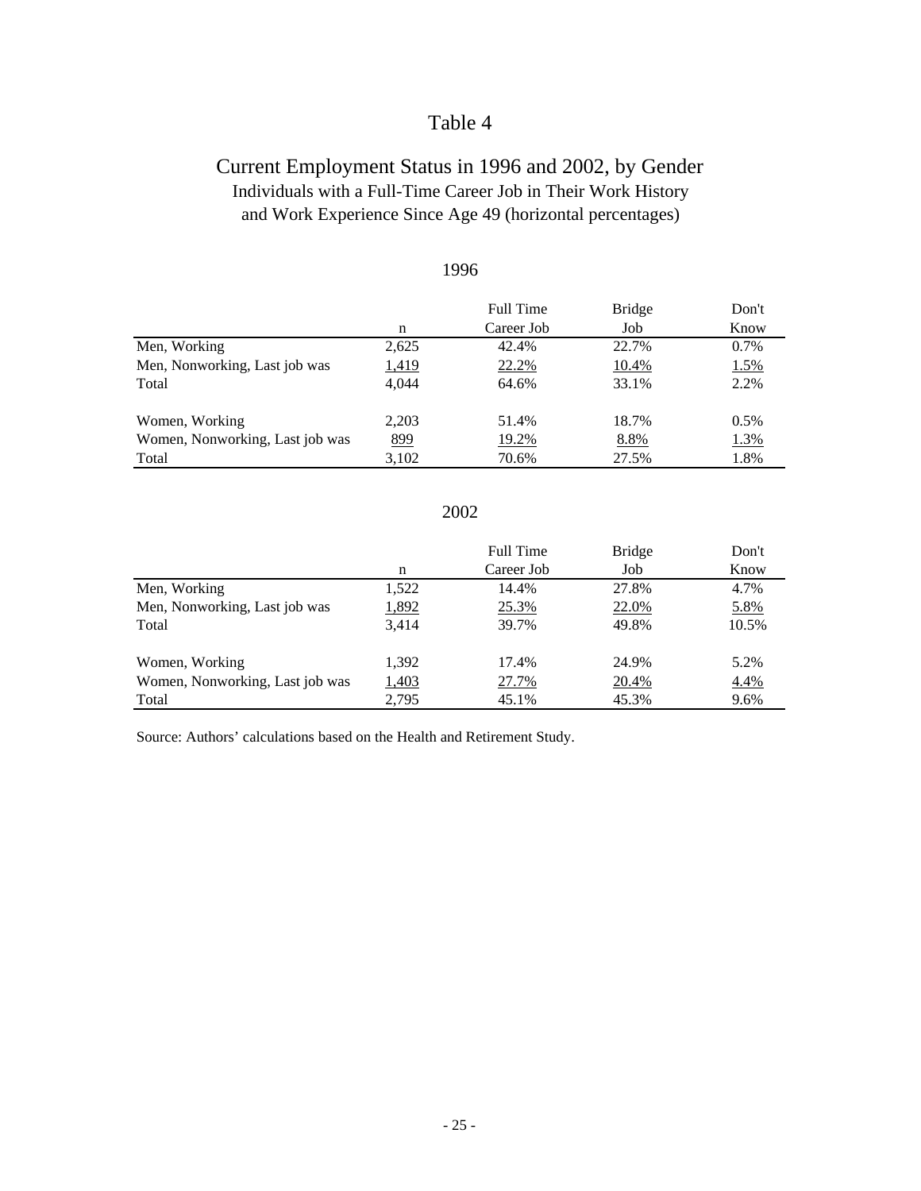### Current Employment Status in 1996 and 2002, by Gender Individuals with a Full-Time Career Job in Their Work History and Work Experience Since Age 49 (horizontal percentages)

|                                 |       | <b>Full Time</b> | <b>Bridge</b> | Don't   |
|---------------------------------|-------|------------------|---------------|---------|
|                                 | n     | Career Job       | Job           | Know    |
| Men, Working                    | 2,625 | 42.4%            | 22.7%         | $0.7\%$ |
| Men, Nonworking, Last job was   | 1,419 | 22.2%            | 10.4%         | 1.5%    |
| Total                           | 4.044 | 64.6%            | 33.1%         | 2.2%    |
| Women, Working                  | 2.203 | 51.4%            | 18.7%         | 0.5%    |
| Women, Nonworking, Last job was | 899   | 19.2%            | 8.8%          | 1.3%    |
| Total                           | 3,102 | 70.6%            | 27.5%         | 1.8%    |

### 2002

|                                 |              | <b>Full Time</b> | <b>Bridge</b> | Don't |
|---------------------------------|--------------|------------------|---------------|-------|
|                                 | n            | Career Job       | Job           | Know  |
| Men, Working                    | 1,522        | 14.4%            | 27.8%         | 4.7%  |
| Men, Nonworking, Last job was   | 1,892        | 25.3%            | 22.0%         | 5.8%  |
| Total                           | 3.414        | 39.7%            | 49.8%         | 10.5% |
| Women, Working                  | 1.392        | 17.4%            | 24.9%         | 5.2%  |
| Women, Nonworking, Last job was | <u>1,403</u> | 27.7%            | 20.4%         | 4.4%  |
| Total                           | 2,795        | 45.1%            | 45.3%         | 9.6%  |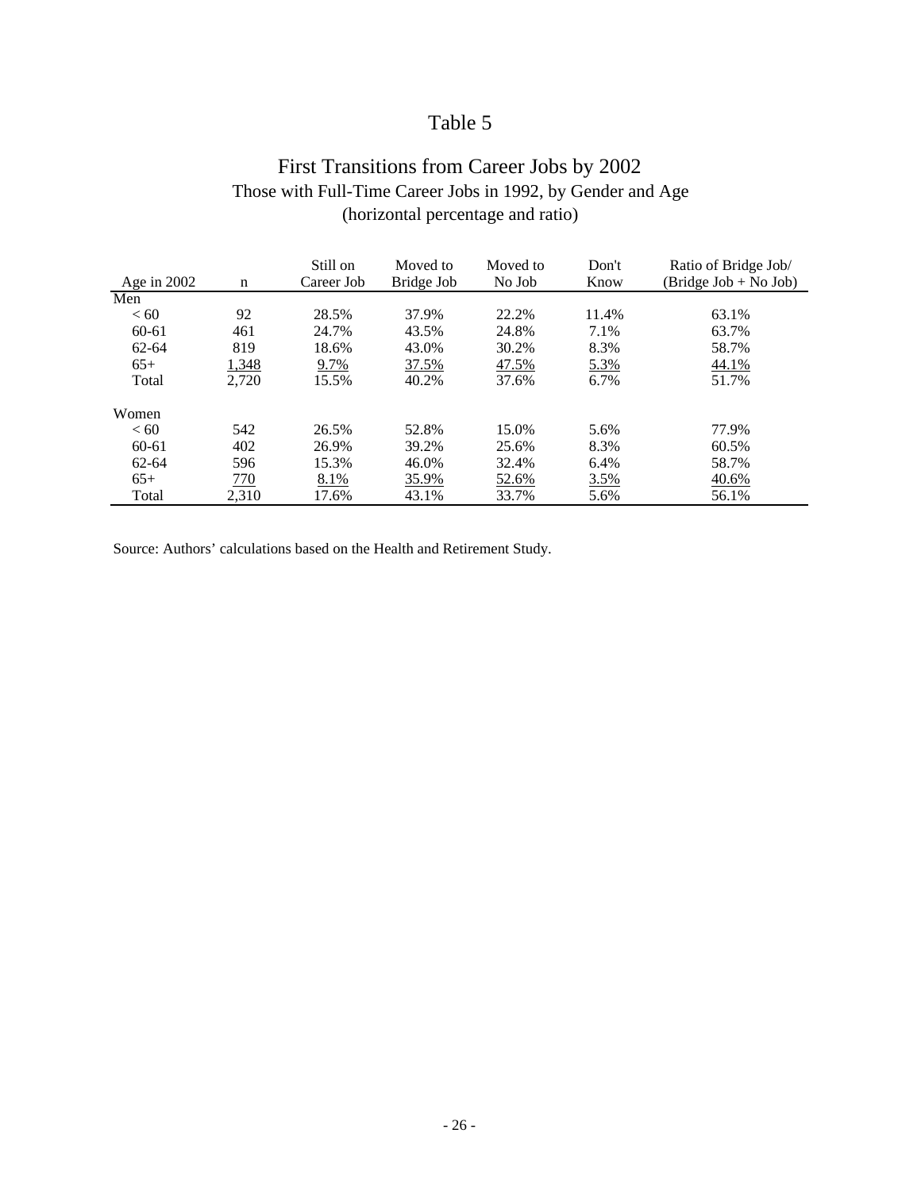### First Transitions from Career Jobs by 2002 Those with Full-Time Career Jobs in 1992, by Gender and Age (horizontal percentage and ratio)

| Age in 2002 | n     | Still on<br>Career Job | Moved to<br>Bridge Job | Moved to<br>No Job | Don't<br>Know | Ratio of Bridge Job/<br>(Bridge Job + No Job) |
|-------------|-------|------------------------|------------------------|--------------------|---------------|-----------------------------------------------|
| Men         |       |                        |                        |                    |               |                                               |
| < 60        | 92    | 28.5%                  | 37.9%                  | 22.2%              | 11.4%         | 63.1%                                         |
| $60 - 61$   | 461   | 24.7%                  | 43.5%                  | 24.8%              | 7.1%          | 63.7%                                         |
| $62 - 64$   | 819   | 18.6%                  | 43.0%                  | 30.2%              | 8.3%          | 58.7%                                         |
| $65+$       | 1,348 | 9.7%                   | 37.5%                  | 47.5%              | 5.3%          | 44.1%                                         |
| Total       | 2.720 | 15.5%                  | 40.2%                  | 37.6%              | 6.7%          | 51.7%                                         |
| Women       |       |                        |                        |                    |               |                                               |
| <60         | 542   | 26.5%                  | 52.8%                  | 15.0%              | 5.6%          | 77.9%                                         |
| 60-61       | 402   | 26.9%                  | 39.2%                  | 25.6%              | 8.3%          | 60.5%                                         |
| $62 - 64$   | 596   | 15.3%                  | 46.0%                  | 32.4%              | 6.4%          | 58.7%                                         |
| $65+$       | 770   | 8.1%                   | <u>35.9%</u>           | 52.6%              | 3.5%          | 40.6%                                         |
| Total       | 2.310 | 17.6%                  | 43.1%                  | 33.7%              | 5.6%          | 56.1%                                         |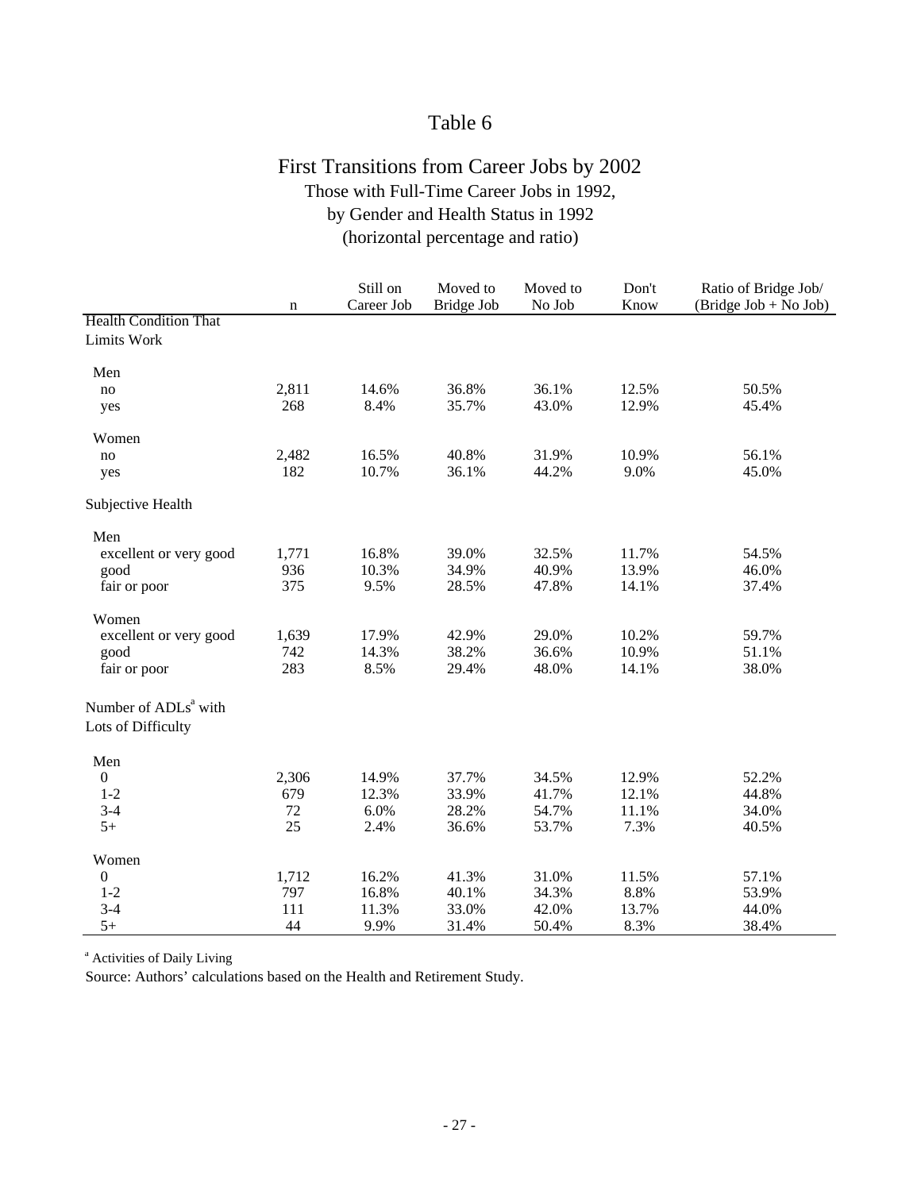### First Transitions from Career Jobs by 2002 Those with Full-Time Career Jobs in 1992, by Gender and Health Status in 1992 (horizontal percentage and ratio)

|                                  | $\mathbf n$ | Still on<br>Career Job | Moved to<br>Bridge Job | Moved to<br>No Job | Don't<br>Know | Ratio of Bridge Job/<br>(Bridge Job + No Job) |
|----------------------------------|-------------|------------------------|------------------------|--------------------|---------------|-----------------------------------------------|
| <b>Health Condition That</b>     |             |                        |                        |                    |               |                                               |
| Limits Work                      |             |                        |                        |                    |               |                                               |
| Men                              |             |                        |                        |                    |               |                                               |
| no                               | 2,811       | 14.6%                  | 36.8%                  | 36.1%              | 12.5%         | 50.5%                                         |
| yes                              | 268         | 8.4%                   | 35.7%                  | 43.0%              | 12.9%         | 45.4%                                         |
| Women                            |             |                        |                        |                    |               |                                               |
| no                               | 2,482       | 16.5%                  | 40.8%                  | 31.9%              | 10.9%         | 56.1%                                         |
| yes                              | 182         | 10.7%                  | 36.1%                  | 44.2%              | 9.0%          | 45.0%                                         |
| Subjective Health                |             |                        |                        |                    |               |                                               |
| Men                              |             |                        |                        |                    |               |                                               |
| excellent or very good           | 1,771       | 16.8%                  | 39.0%                  | 32.5%              | 11.7%         | 54.5%                                         |
| good                             | 936         | 10.3%                  | 34.9%                  | 40.9%              | 13.9%         | 46.0%                                         |
| fair or poor                     | 375         | 9.5%                   | 28.5%                  | 47.8%              | 14.1%         | 37.4%                                         |
| Women                            |             |                        |                        |                    |               |                                               |
| excellent or very good           | 1,639       | 17.9%                  | 42.9%                  | 29.0%              | 10.2%         | 59.7%                                         |
| good                             | 742         | 14.3%                  | 38.2%                  | 36.6%              | 10.9%         | 51.1%                                         |
| fair or poor                     | 283         | 8.5%                   | 29.4%                  | 48.0%              | 14.1%         | 38.0%                                         |
| Number of ADLs <sup>a</sup> with |             |                        |                        |                    |               |                                               |
| Lots of Difficulty               |             |                        |                        |                    |               |                                               |
| Men                              |             |                        |                        |                    |               |                                               |
| $\boldsymbol{0}$                 | 2,306       | 14.9%                  | 37.7%                  | 34.5%              | 12.9%         | 52.2%                                         |
| $1 - 2$                          | 679         | 12.3%                  | 33.9%                  | 41.7%              | 12.1%         | 44.8%                                         |
| $3 - 4$                          | 72          | 6.0%                   | 28.2%                  | 54.7%              | 11.1%         | 34.0%                                         |
| $5+$                             | 25          | 2.4%                   | 36.6%                  | 53.7%              | 7.3%          | 40.5%                                         |
| Women                            |             |                        |                        |                    |               |                                               |
| 0                                | 1,712       | 16.2%                  | 41.3%                  | 31.0%              | 11.5%         | 57.1%                                         |
| $1 - 2$                          | 797         | 16.8%                  | 40.1%                  | 34.3%              | 8.8%          | 53.9%                                         |
| $3-4$                            | 111         | 11.3%                  | 33.0%                  | 42.0%              | 13.7%         | 44.0%                                         |
| $5+$                             | 44          | 9.9%                   | 31.4%                  | 50.4%              | 8.3%          | 38.4%                                         |

<sup>a</sup> Activities of Daily Living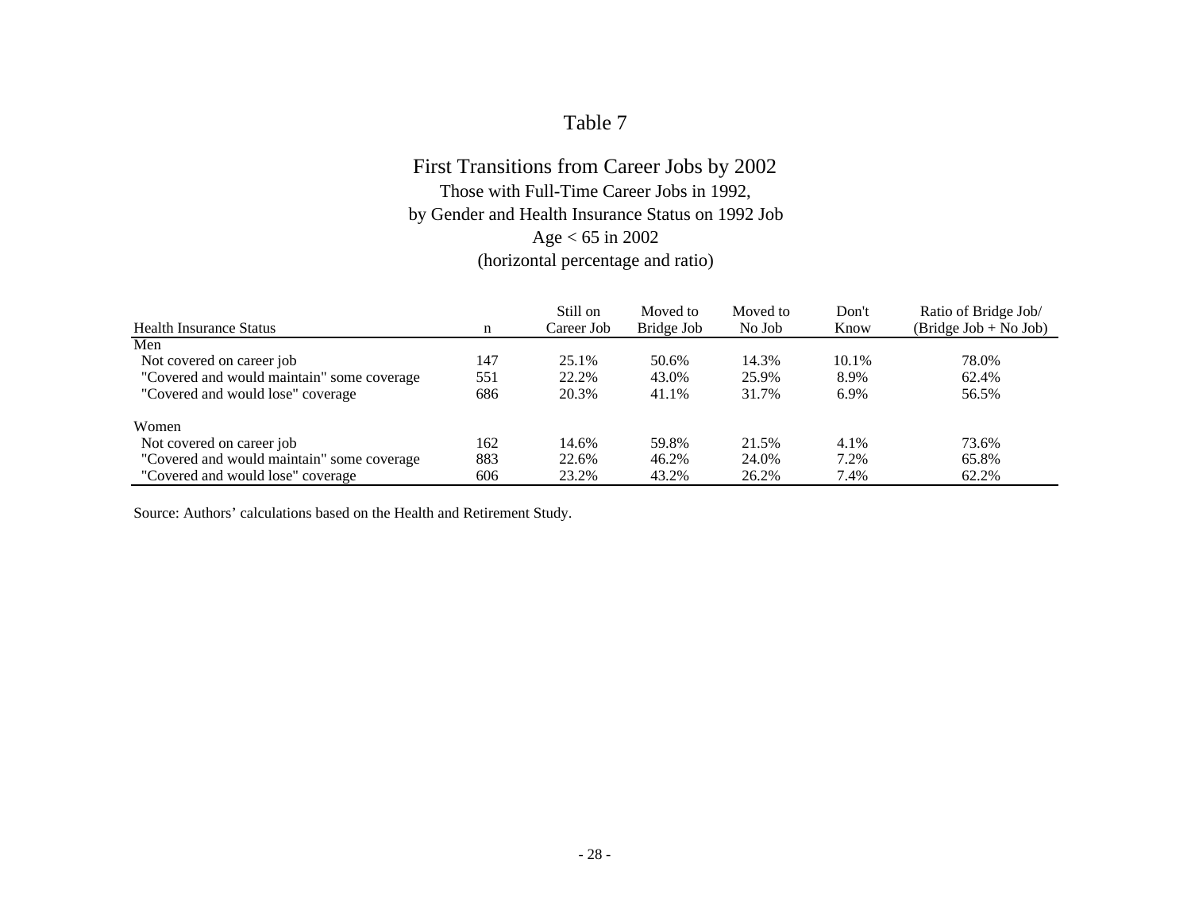### First Transitions from Career Jobs by 2002 Those with Full-Time Career Jobs in 1992, by Gender and Health Insurance Status on 1992 Job Age < 65 in 2002 (horizontal percentage and ratio)

|                                            |     | Still on   | Moved to   | Moved to | Don't | Ratio of Bridge Job/    |
|--------------------------------------------|-----|------------|------------|----------|-------|-------------------------|
| <b>Health Insurance Status</b>             | n   | Career Job | Bridge Job | No Job   | Know  | $(Bridge Job + No Job)$ |
| Men                                        |     |            |            |          |       |                         |
| Not covered on career job                  | 147 | 25.1%      | 50.6%      | 14.3%    | 10.1% | 78.0%                   |
| "Covered and would maintain" some coverage | 551 | 22.2%      | 43.0%      | 25.9%    | 8.9%  | 62.4%                   |
| "Covered and would lose" coverage          | 686 | 20.3%      | 41.1%      | 31.7%    | 6.9%  | 56.5%                   |
| Women                                      |     |            |            |          |       |                         |
| Not covered on career job                  | 162 | 14.6%      | 59.8%      | 21.5%    | 4.1%  | 73.6%                   |
| "Covered and would maintain" some coverage | 883 | 22.6%      | 46.2%      | 24.0%    | 7.2%  | 65.8%                   |
| "Covered and would lose" coverage          | 606 | 23.2%      | 43.2%      | 26.2%    | 7.4%  | 62.2%                   |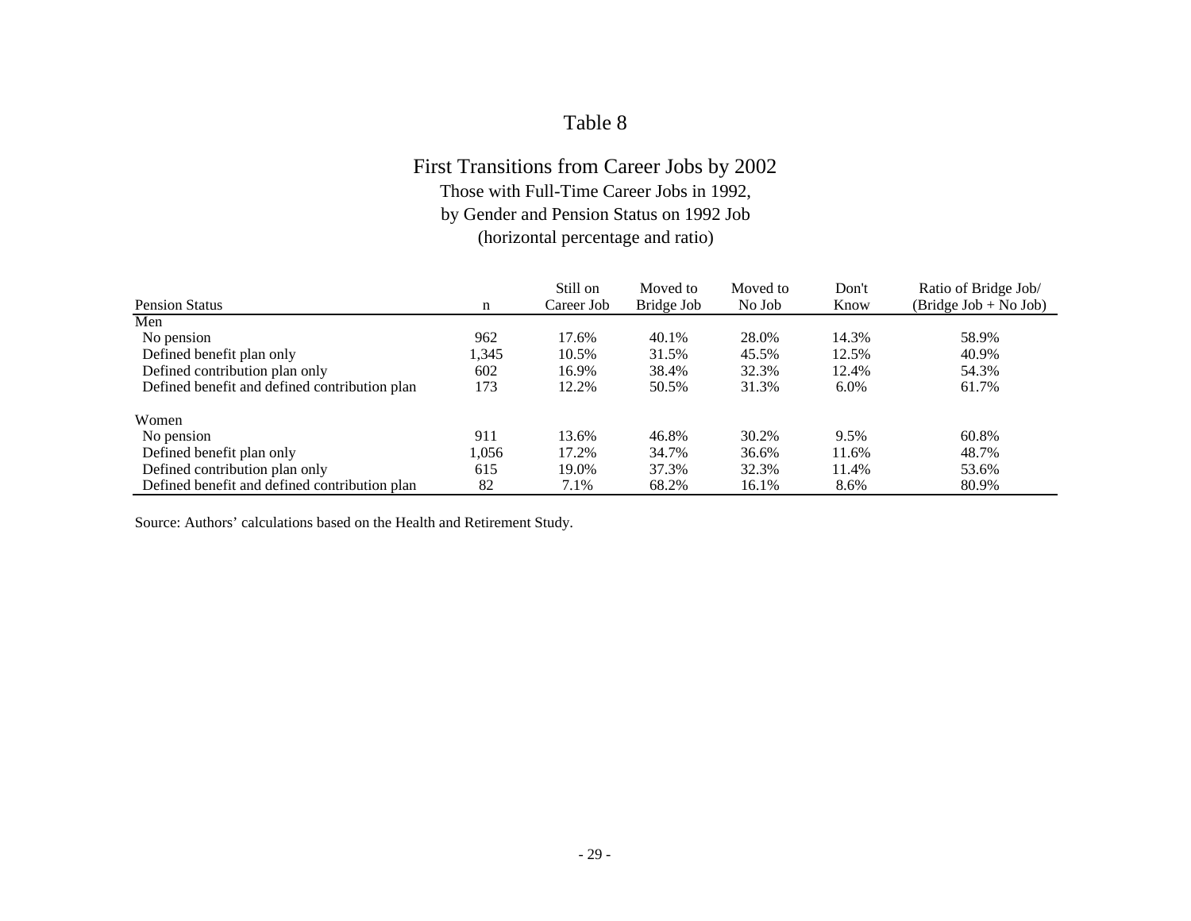# First Transitions from Career Jobs by 2002

Those with Full-Time Career Jobs in 1992,

by Gender and Pension Status on 1992 Job

(horizontal percentage and ratio)

| <b>Pension Status</b>                         | n     | Still on<br>Career Job | Moved to<br>Bridge Job | Moved to<br>No Job | Don't<br>Know | Ratio of Bridge Job/<br>$(Bridge Job + NoJob)$ |
|-----------------------------------------------|-------|------------------------|------------------------|--------------------|---------------|------------------------------------------------|
| Men                                           |       |                        |                        |                    |               |                                                |
|                                               |       |                        |                        |                    |               |                                                |
| No pension                                    | 962   | 17.6%                  | 40.1%                  | 28.0%              | 14.3%         | 58.9%                                          |
| Defined benefit plan only                     | 1,345 | 10.5%                  | 31.5%                  | 45.5%              | 12.5%         | 40.9%                                          |
| Defined contribution plan only                | 602   | 16.9%                  | 38.4%                  | 32.3%              | 12.4%         | 54.3%                                          |
| Defined benefit and defined contribution plan | 173   | 12.2%                  | 50.5%                  | 31.3%              | $6.0\%$       | 61.7%                                          |
| Women                                         |       |                        |                        |                    |               |                                                |
| No pension                                    | 911   | 13.6%                  | 46.8%                  | 30.2%              | 9.5%          | 60.8%                                          |
| Defined benefit plan only                     | 1.056 | 17.2%                  | 34.7%                  | 36.6%              | 11.6%         | 48.7%                                          |
| Defined contribution plan only                | 615   | 19.0%                  | 37.3%                  | 32.3%              | 11.4%         | 53.6%                                          |
| Defined benefit and defined contribution plan | 82    | 7.1%                   | 68.2%                  | 16.1%              | 8.6%          | 80.9%                                          |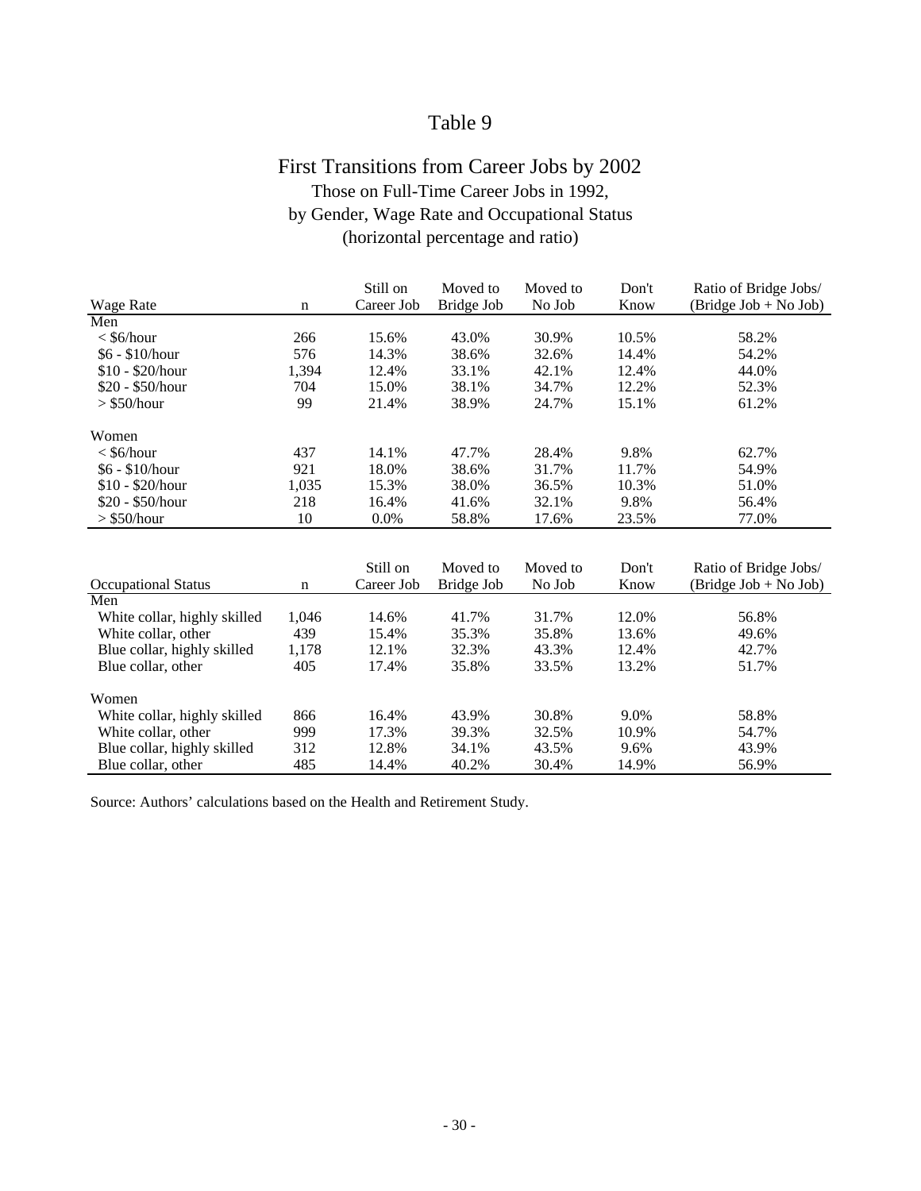## First Transitions from Career Jobs by 2002 Those on Full-Time Career Jobs in 1992, by Gender, Wage Rate and Occupational Status (horizontal percentage and ratio)

|                              |             | Still on   | Moved to   | Moved to | Don't | Ratio of Bridge Jobs/  |
|------------------------------|-------------|------------|------------|----------|-------|------------------------|
| <b>Wage Rate</b>             | $\mathbf n$ | Career Job | Bridge Job | No Job   | Know  | $(Bridge Job + NoJob)$ |
| Men                          |             |            |            |          |       |                        |
| $<$ \$6/hour                 | 266         | 15.6%      | 43.0%      | 30.9%    | 10.5% | 58.2%                  |
| $$6 - $10/h$ our             | 576         | 14.3%      | 38.6%      | 32.6%    | 14.4% | 54.2%                  |
| $$10 - $20/h$ our            | 1,394       | 12.4%      | 33.1%      | 42.1%    | 12.4% | 44.0%                  |
| $$20 - $50/hour$             | 704         | 15.0%      | 38.1%      | 34.7%    | 12.2% | 52.3%                  |
| $>$ \$50/hour                | 99          | 21.4%      | 38.9%      | 24.7%    | 15.1% | 61.2%                  |
| Women                        |             |            |            |          |       |                        |
| $<$ \$6/hour                 | 437         | 14.1%      | 47.7%      | 28.4%    | 9.8%  | 62.7%                  |
| $$6 - $10/h$ our             | 921         | 18.0%      | 38.6%      | 31.7%    | 11.7% | 54.9%                  |
| $$10 - $20/h$ our            | 1,035       | 15.3%      | 38.0%      | 36.5%    | 10.3% | 51.0%                  |
| $$20 - $50/hour$             | 218         | 16.4%      | 41.6%      | 32.1%    | 9.8%  | 56.4%                  |
| $>$ \$50/hour                | 10          | 0.0%       | 58.8%      | 17.6%    | 23.5% | 77.0%                  |
|                              |             |            |            |          |       |                        |
|                              |             | Still on   | Moved to   | Moved to | Don't | Ratio of Bridge Jobs/  |
| <b>Occupational Status</b>   | $\mathbf n$ | Career Job | Bridge Job | No Job   | Know  | $(Bridge Job + NoJob)$ |
| Men                          |             |            |            |          |       |                        |
| White collar, highly skilled | 1,046       | 14.6%      | 41.7%      | 31.7%    | 12.0% | 56.8%                  |
| White collar, other          | 439         | 15.4%      | 35.3%      | 35.8%    | 13.6% | 49.6%                  |
| Blue collar, highly skilled  | 1,178       | 12.1%      | 32.3%      | 43.3%    | 12.4% | 42.7%                  |
| Blue collar, other           | 405         | 17.4%      | 35.8%      | 33.5%    | 13.2% | 51.7%                  |
| Women                        |             |            |            |          |       |                        |
| White collar, highly skilled | 866         | 16.4%      | 43.9%      | 30.8%    | 9.0%  | 58.8%                  |
| White collar, other          | 999         | 17.3%      | 39.3%      | 32.5%    | 10.9% | 54.7%                  |
| Blue collar, highly skilled  | 312         | 12.8%      | 34.1%      | 43.5%    | 9.6%  | 43.9%                  |
| Blue collar, other           | 485         | 14.4%      | 40.2%      | 30.4%    | 14.9% | 56.9%                  |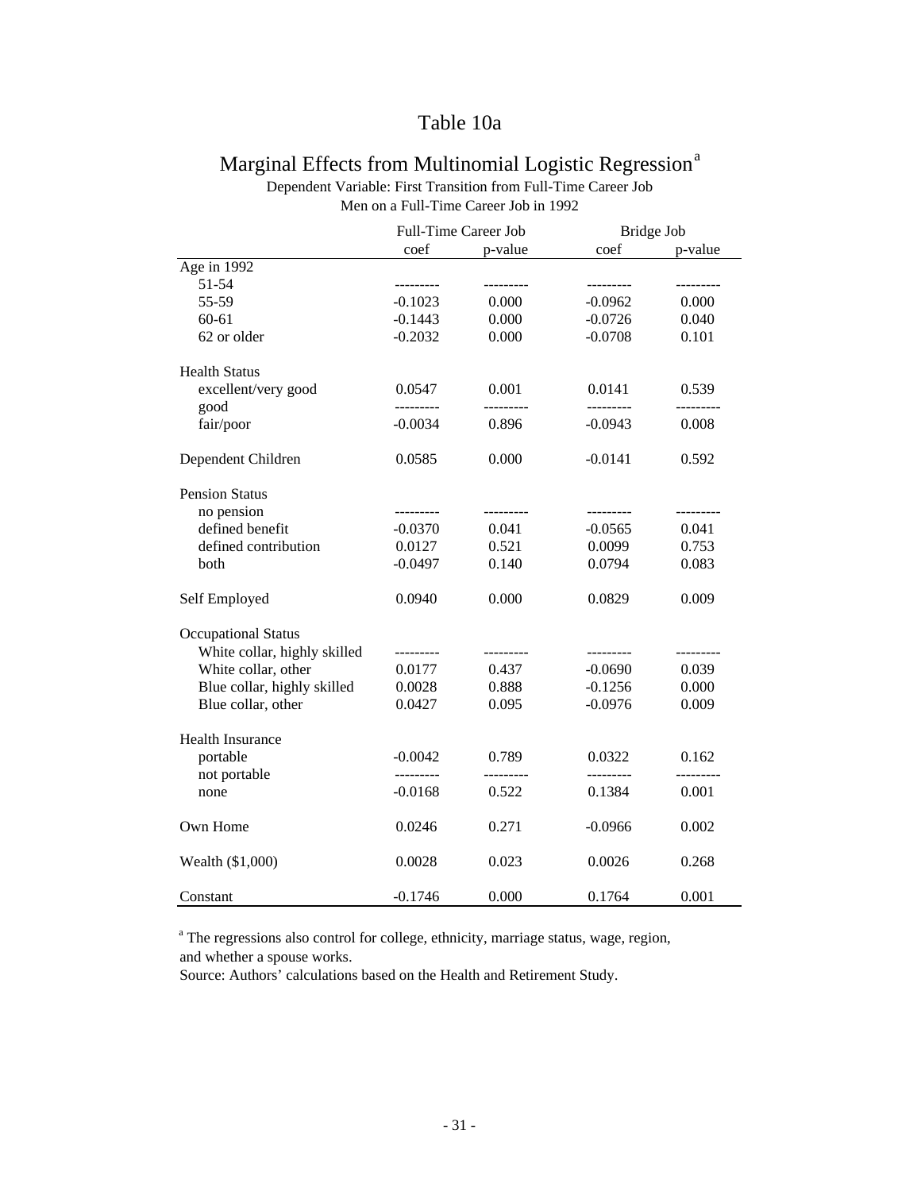### Table 10a

### Marginal Effects from Multinomial Logistic Regression<sup>a</sup> Dependent Variable: First Transition from Full-Time Career Job

|                              | Full-Time Career Job    |           | Bridge Job             |           |  |
|------------------------------|-------------------------|-----------|------------------------|-----------|--|
|                              | coef                    | p-value   | coef                   | p-value   |  |
| Age in $1992$                |                         |           |                        |           |  |
| 51-54                        | ---------               |           | ---------              |           |  |
| 55-59                        | $-0.1023$               | 0.000     | $-0.0962$              | 0.000     |  |
| $60 - 61$                    | $-0.1443$               | 0.000     | $-0.0726$              | 0.040     |  |
| 62 or older                  | $-0.2032$               | 0.000     | $-0.0708$              | 0.101     |  |
| <b>Health Status</b>         |                         |           |                        |           |  |
| excellent/very good          | 0.0547                  | 0.001     | 0.0141                 | 0.539     |  |
| good<br>fair/poor            | ----------<br>$-0.0034$ | 0.896     | ---------<br>$-0.0943$ | 0.008     |  |
|                              |                         |           |                        |           |  |
| Dependent Children           | 0.0585                  | 0.000     | $-0.0141$              | 0.592     |  |
| <b>Pension Status</b>        |                         |           |                        |           |  |
| no pension                   | ---------               | --------- | ---------              | --------- |  |
| defined benefit              | $-0.0370$               | 0.041     | $-0.0565$              | 0.041     |  |
| defined contribution         | 0.0127                  | 0.521     | 0.0099                 | 0.753     |  |
| both                         | $-0.0497$               | 0.140     | 0.0794                 | 0.083     |  |
| Self Employed                | 0.0940                  | 0.000     | 0.0829                 | 0.009     |  |
| <b>Occupational Status</b>   |                         |           |                        |           |  |
| White collar, highly skilled | ---------               | --------- | ---------              | --------- |  |
| White collar, other          | 0.0177                  | 0.437     | $-0.0690$              | 0.039     |  |
| Blue collar, highly skilled  | 0.0028                  | 0.888     | $-0.1256$              | 0.000     |  |
| Blue collar, other           | 0.0427                  | 0.095     | $-0.0976$              | 0.009     |  |
| Health Insurance             |                         |           |                        |           |  |
| portable                     | $-0.0042$               | 0.789     | 0.0322                 | 0.162     |  |
| not portable                 | ---------               |           |                        |           |  |
| none                         | $-0.0168$               | 0.522     | 0.1384                 | 0.001     |  |
| Own Home                     | 0.0246                  | 0.271     | $-0.0966$              | 0.002     |  |
| Wealth (\$1,000)             | 0.0028                  | 0.023     | 0.0026                 | 0.268     |  |
| Constant                     | $-0.1746$               | 0.000     | 0.1764                 | 0.001     |  |

Men on a Full-Time Career Job in 1992

<sup>a</sup> The regressions also control for college, ethnicity, marriage status, wage, region, and whether a spouse works.